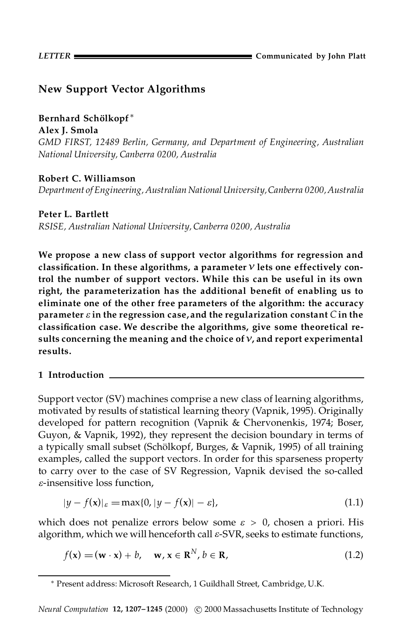# **New Support Vector Algorithms**

# **Bernhard Scholkopf ¨** ¤

**Alex J. Smola**

*GMD FIRST, 12489 Berlin, Germany, and Department of Engineering, Australian National University, Canberra 0200, Australia*

## **Robert C. Williamson**

*Department of Engineering, Australian NationalUniversity,Canberra 0200,Australia*

## **Peter L. Bartlett**

*RSISE, Australian National University, Canberra 0200, Australia*

**We propose a new class of support vector algorithms for regression and classication. In these algorithms, a parameter** *º* **lets one effectively control the number of support vectors. While this can be useful in its own right, the parameterization has the additional benet of enabling us to eliminate one of the other free parameters of the algorithm: the accuracy parameter**  $\varepsilon$  in the regression case, and the regularization constant  $C$  in the **classication case. We describe the algorithms, give some theoretical re sults concerning the meaning and the choice of***º***, and report experimental results.**

## **1 Introduction**

Support vector (SV) machines comprise a new class of learning algorithms, motivated by results of statistical learning theory (Vapnik, 1995). Originally developed for pattern recognition (Vapnik & Chervonenkis, 1974; Boser, Guyon, & Vapnik, 1992), they represent the decision boundary in terms of a typically small subset (Schölkopf, Burges, & Vapnik, 1995) of all training examples, called the support vectors. In order for this sparseness property to carry over to the case of SV Regression, Vapnik devised the so-called *e*-insensitive loss function,

$$
|y - f(\mathbf{x})|_{\varepsilon} = \max\{0, |y - f(\mathbf{x})| - \varepsilon\},\tag{1.1}
$$

which does not penalize errors below some  $\varepsilon > 0$ , chosen a priori. His algorithm, which we will henceforth call *e*-SVR, seeks to estimate functions,

$$
f(\mathbf{x}) = (\mathbf{w} \cdot \mathbf{x}) + b, \quad \mathbf{w}, \mathbf{x} \in \mathbf{R}^{N}, b \in \mathbf{R},
$$
 (1.2)

<sup>¤</sup> Present address: Microsoft Research, 1 Guildhall Street, Cambridge, U.K.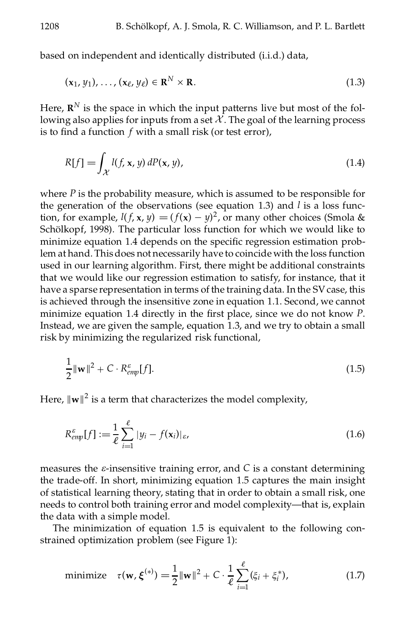based on independent and identically distributed (i.i.d.) data,

$$
(\mathbf{x}_1, y_1), \dots, (\mathbf{x}_\ell, y_\ell) \in \mathbb{R}^N \times \mathbb{R}.\tag{1.3}
$$

Here,  $\mathbf{R}^N$  is the space in which the input patterns live but most of the following also applies for inputs from a set  $X$ . The goal of the learning process is to find a function *f* with a small risk (or test error),

$$
R[f] = \int_{\mathcal{X}} l(f, \mathbf{x}, y) \, dP(\mathbf{x}, y), \tag{1.4}
$$

where *P* is the probability measure, which is assumed to be responsible for the generation of the observations (see equation 1.3) and *l* is a loss function, for example,  $l(f, x, y) = (f(x) - y)^2$ , or many other choices (Smola & Schölkopf, 1998). The particular loss function for which we would like to minimize equation 1.4 depends on the specific regression estimation problem at hand. This does not necessarily have to coincide with the loss function used in our learning algorithm. First, there might be additional constraints that we would like our regression estimation to satisfy, for instance, that it have a sparse representation in terms of the training data. In the SV case, this is achieved through the insensitive zone in equation 1.1. Second, we cannot minimize equation 1.4 directly in the first place, since we do not know *P*. Instead, we are given the sample, equation 1.3, and we try to obtain a small risk by minimizing the regularized risk functional,

$$
\frac{1}{2} \|\mathbf{w}\|^2 + C \cdot R_{\text{emp}}^{\varepsilon}[f]. \tag{1.5}
$$

Here,  $\|\mathbf{w}\|^2$  is a term that characterizes the model complexity,

$$
R_{\text{emp}}^{\varepsilon}[f] := \frac{1}{\ell} \sum_{i=1}^{\ell} |y_i - f(\mathbf{x}_i)|_{\varepsilon},
$$
\n(1.6)

measures the *e*-insensitive training error, and *C* is a constant determining the trade-off. In short, minimizing equation 1.5 captures the main insight of statistical learning theory, stating that in order to obtain a small risk, one needs to control both training error and model complexity—that is, explain the data with a simple model.

The minimization of equation 1.5 is equivalent to the following constrained optimization problem (see Figure 1):

minimize 
$$
\tau(\mathbf{w}, \boldsymbol{\xi}^{(*)}) = \frac{1}{2} ||\mathbf{w}||^2 + C \cdot \frac{1}{\ell} \sum_{i=1}^{\ell} (\xi_i + \xi_i^*),
$$
 (1.7)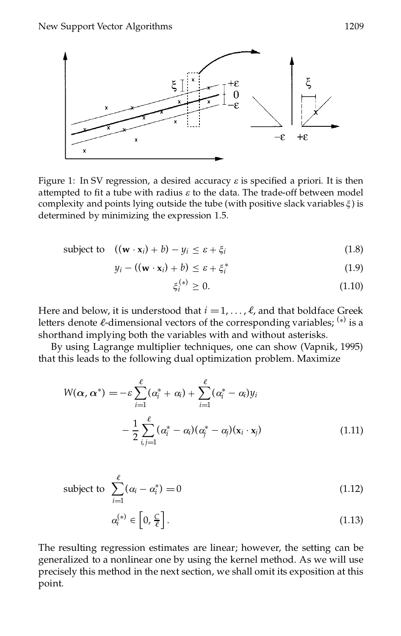

Figure 1: In SV regression, a desired accuracy  $\varepsilon$  is specified a priori. It is then attempted to fit a tube with radius  $\varepsilon$  to the data. The trade-off between model complexity and points lying outside the tube (with positive slack variables  $\xi$ ) is determined by minimizing the expression 1.5.

subject to 
$$
((\mathbf{w} \cdot \mathbf{x}_i) + b) - y_i \le \varepsilon + \xi_i
$$
 (1.8)

$$
y_i - ((\mathbf{w} \cdot \mathbf{x}_i) + b) \leq \varepsilon + \xi_i^* \tag{1.9}
$$

$$
\xi_i^{(*)} \ge 0. \tag{1.10}
$$

Here and below, it is understood that  $i = 1, \ldots, \ell$ , and that boldface Greek letters denote *ℓ*-dimensional vectors of the corresponding variables; <sup>(\*)</sup> is a shorthand implying both the variables with and without asterisks.

By using Lagrange multiplier techniques, one can show (Vapnik, 1995) that this leads to the following dual optimization problem. Maximize

$$
W(\alpha, \alpha^*) = -\varepsilon \sum_{i=1}^{\ell} (\alpha_i^* + \alpha_i) + \sum_{i=1}^{\ell} (\alpha_i^* - \alpha_i) y_i
$$

$$
- \frac{1}{2} \sum_{i,j=1}^{\ell} (\alpha_i^* - \alpha_i) (\alpha_j^* - \alpha_j) (\mathbf{x}_i \cdot \mathbf{x}_j)
$$
(1.11)

subject to 
$$
\sum_{i=1}^{\ell} (\alpha_i - \alpha_i^*) = 0
$$
 (1.12)

$$
\alpha_i^{(*)} \in \left[0, \frac{C}{\ell}\right].\tag{1.13}
$$

The resulting regression estimates are linear; however, the setting can be generalized to a nonlinear one by using the kernel method. As we will use precisely this method in the next section, we shall omit its exposition at this point.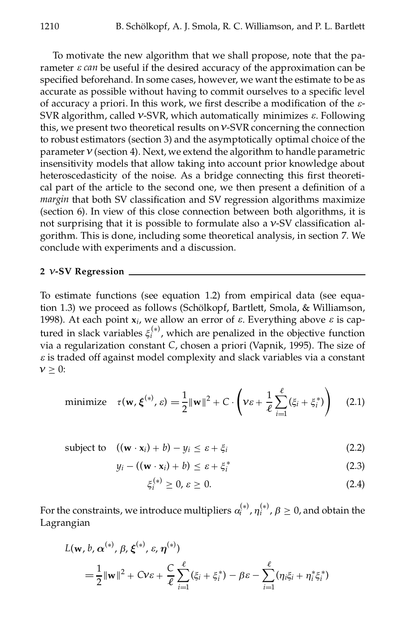To motivate the new algorithm that we shall propose, note that the parameter *e can* be useful if the desired accuracy of the approximation can be specified beforehand. In some cases, however, we want the estimate to be as accurate as possible without having to commit ourselves to a specific level of accuracy a priori. In this work, we first describe a modification of the  $\varepsilon$ -SVR algorithm, called *º*-SVR, which automatically minimizes *e*. Following this, we present two theoretical results on*º*-SVR concerning the connection to robust estimators (section 3) and the asymptotically optimal choice of the parameter  $v$  (section 4). Next, we extend the algorithm to handle parametric insensitivity models that allow taking into account prior knowledge about heteroscedasticity of the noise. As a bridge connecting this first theoretical part of the article to the second one, we then present a definition of a *margin* that both SV classification and SV regression algorithms maximize (section 6). In view of this close connection between both algorithms, it is not surprising that it is possible to formulate also a *V*-SV classification algorithm. This is done, including some theoretical analysis, in section 7.We conclude with experiments and a discussion.

## **2** *º***-SV Regression**

To estimate functions (see equation 1.2) from empirical data (see equation 1.3) we proceed as follows (Schölkopf, Bartlett, Smola, & Williamson, 1998). At each point  $x_i$ , we allow an error of  $\varepsilon$ . Everything above  $\varepsilon$  is captured in slack variables  $\xi_i^{(*)}$ , which are penalized in the objective function via a regularization constant *C*, chosen a priori (Vapnik, 1995). The size of *e* is traded off against model complexity and slack variables via a constant  $v > 0$ :

minimize 
$$
\tau(\mathbf{w}, \boldsymbol{\xi}^{(*)}, \varepsilon) = \frac{1}{2} ||\mathbf{w}||^2 + C \cdot \left(\nu \varepsilon + \frac{1}{\ell} \sum_{i=1}^{\ell} (\xi_i + \xi_i^*)\right)
$$
 (2.1)

subject to 
$$
((\mathbf{w} \cdot \mathbf{x}_i) + b) - y_i \le \varepsilon + \xi_i
$$
 (2.2)

$$
y_i - ((\mathbf{w} \cdot \mathbf{x}_i) + b) \leq \varepsilon + \xi_i^* \tag{2.3}
$$

$$
\xi_i^{(*)} \ge 0, \varepsilon \ge 0. \tag{2.4}
$$

For the constraints, we introduce multipliers  $\alpha_i^{(*)}$  ,  $\eta_i^{(*)}$  ,  $\beta \geq 0$  , and obtain the Lagrangian

$$
L(\mathbf{w}, b, \alpha^{(*)}, \beta, \xi^{(*)}, \varepsilon, \eta^{(*)})
$$
  
=  $\frac{1}{2} ||\mathbf{w}||^2 + Cv\varepsilon + \frac{C}{\ell} \sum_{i=1}^{\ell} (\xi_i + \xi_i^*) - \beta \varepsilon - \sum_{i=1}^{\ell} (\eta_i \xi_i + \eta_i^* \xi_i^*)$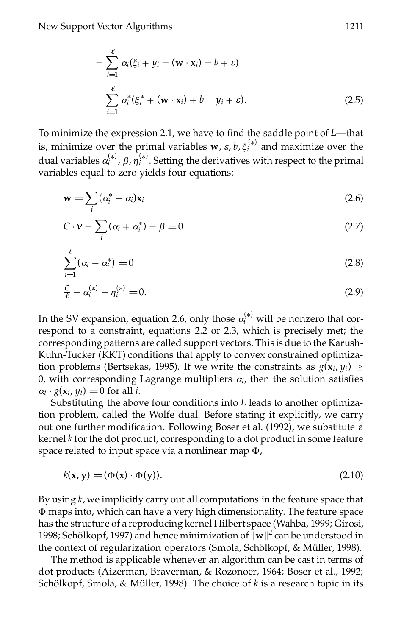$$
-\sum_{i=1}^{\ell} \alpha_i (\xi_i + y_i - (\mathbf{w} \cdot \mathbf{x}_i) - b + \varepsilon)
$$
  

$$
-\sum_{i=1}^{\ell} \alpha_i^* (\xi_i^* + (\mathbf{w} \cdot \mathbf{x}_i) + b - y_i + \varepsilon).
$$
 (2.5)

To minimize the expression 2.1, we have to find the saddle point of *L*—that is, minimize over the primal variables **w**,  $\varepsilon$ ,  $b$ ,  $\xi_i^{(*)}$  and maximize over the dual variables  $\alpha_i^{(*)}$ ,  $\beta$ ,  $\eta_i^{(*)}$ . Setting the derivatives with respect to the primal variables equal to zero yields four equations:

$$
\mathbf{w} = \sum_{i} (\alpha_i^* - \alpha_i) \mathbf{x}_i \tag{2.6}
$$

$$
C \cdot \mathbf{v} - \sum_{i} (\alpha_i + \alpha_i^*) - \beta = 0 \tag{2.7}
$$

$$
\sum_{i=1}^{\ell} (\alpha_i - \alpha_i^*) = 0
$$
\n(2.8)

$$
\frac{C}{\ell} - \alpha_i^{(*)} - \eta_i^{(*)} = 0. \tag{2.9}
$$

In the SV expansion, equation 2.6, only those  $\alpha_i^{(*)}$  will be nonzero that correspond to a constraint, equations 2.2 or 2.3, which is precisely met; the corresponding patterns are called support vectors. This is due to the Karush-Kuhn-Tucker (KKT) conditions that apply to convex constrained optimization problems (Bertsekas, 1995). If we write the constraints as  $g(\mathbf{x}_i, y_i) \geq$ 0, with corresponding Lagrange multipliers  $\alpha$ <sup>*i*</sup>, then the solution satisfies  $a_i \cdot g(x_i, y_i) = 0$  for all *i*. Substituting the above four conditions into *L* leads to another optimiza-

tion problem, called the Wolfe dual. Before stating it explicitly, we carry out one further modification. Following Boser et al. (1992), we substitute a kernel *k* for the dot product, corresponding to a dot product in some feature space related to input space via a nonlinear map  $\Phi$ ,

$$
k(\mathbf{x}, \mathbf{y}) = (\Phi(\mathbf{x}) \cdot \Phi(\mathbf{y})). \tag{2.10}
$$

By using *k*,we implicitly carry out all computations in the feature space that W maps into, which can have a very high dimensionality. The feature space has the structure of a reproducing kernel Hilbert space (Wahba, 1999; Girosi, 1998; Schölkopf, 1997) and hence minimization of  $\|\mathbf{w}\|^2$  can be understood in the context of regularization operators (Smola, Schölkopf, & Müller, 1998).

The method is applicable whenever an algorithm can be cast in terms of dot products (Aizerman, Braverman, & Rozonoer, 1964; Boser et al., 1992; Schölkopf, Smola, & Müller, 1998). The choice of *k* is a research topic in its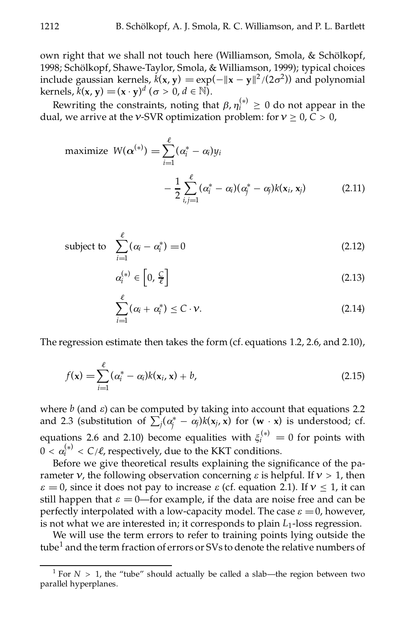own right that we shall not touch here (Williamson, Smola, & Schölkopf, 1998; Schölkopf, Shawe-Taylor, Smola, & Williamson, 1999); typical choices include gaussian kernels,  $k(x, y) = \exp(-\|x - y\|^2/(2\sigma^2))$  and polynomial  $\text{kernels}, k(\mathbf{x}, \mathbf{y}) = (\mathbf{x} \cdot \mathbf{y})^d \ (\sigma > 0, d \in \mathbb{N}).$ 

Rewriting the constraints, noting that  $\beta$ ,  $\eta_i^{(*)} \geq 0$  do not appear in the dual, we arrive at the *v*-SVR optimization problem: for  $v \ge 0$ ,  $C > 0$ ,

maximize 
$$
W(\alpha^{(*)}) = \sum_{i=1}^{\ell} (\alpha_i^* - \alpha_i) y_i
$$
  
-  $\frac{1}{2} \sum_{i,j=1}^{\ell} (\alpha_i^* - \alpha_i) (\alpha_j^* - \alpha_j) k(x_i, x_j)$  (2.11)

subject to 
$$
\sum_{i=1}^{\ell} (\alpha_i - \alpha_i^*) = 0
$$
 (2.12)

$$
\alpha_i^{(*)} \in \left[0, \frac{C}{\ell}\right] \tag{2.13}
$$

$$
\sum_{i=1}^{\ell} (\alpha_i + \alpha_i^*) \leq C \cdot \nu.
$$
 (2.14)

The regression estimate then takes the form (cf. equations 1.2, 2.6, and 2.10),

$$
f(\mathbf{x}) = \sum_{i=1}^{\ell} (\alpha_i^* - \alpha_i) k(\mathbf{x}_i, \mathbf{x}) + b,\tag{2.15}
$$

where  $b$  (and  $\varepsilon$ ) can be computed by taking into account that equations 2.2 where *v* (and *e*) can be computed by taking mto account that equations 2.2 and 2.3 (substitution of  $\sum_j (\alpha_j^* - \alpha_j)k(x_j, x)$  for  $(w \cdot x)$  is understood; cf. equations 2.6 and 2.10) become equalities with  $\xi_i^{(*)} = 0$  for points with  $0 < \alpha_i^{(*)} < C/\ell$ , respectively, due to the KKT conditions.

Before we give theoretical results explaining the significance of the parameter  $\nu$ , the following observation concerning  $\varepsilon$  is helpful. If  $\nu > 1$ , then  $\varepsilon = 0$ , since it does not pay to increase  $\varepsilon$  (cf. equation 2.1). If  $v \le 1$ , it can still happen that  $\varepsilon = 0$ —for example, if the data are noise free and can be perfectly interpolated with a low-capacity model. The case  $\varepsilon = 0$ , however, is not what we are interested in; it corresponds to plain  $L_1$ -loss regression.

We will use the term errors to refer to training points lying outside the tube<sup>1</sup> and the term fraction of errors or SVs to denote the relative numbers of

<sup>&</sup>lt;sup>1</sup> For  $N > 1$ , the "tube" should actually be called a slab—the region between two parallel hyperplanes.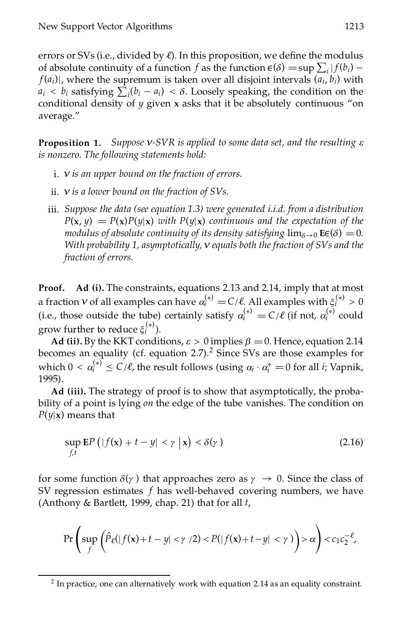errors or SVs (i.e., divided by  $\ell$ ). In this proposition, we define the modulus of absolute continuity of a function *f* as the function  $\epsilon(\delta) = \sup \sum_i |f(b_i) - f(c_i)|$  $f(a_i)$ , where the supremum is taken over all disjoint intervals  $(a_i, b_i)$  with  $a_i < b_i$  satisfying  $\sum_i (b_i - a_i) < \delta$ . Loosely speaking, the condition on the conditional density of *y* given **x** asks that it be absolutely continuous "on average."

**Proposition 1.** *Suppose º-SVR is applied to some data set, and the resulting e is nonzero. The following statements hold:*

- i. *º is an upper bound on the fraction of errors.*
- ii. *º is a lower bound on the fraction of SVs.*
- iii. *Suppose the data (see equation 1.3) were generated i.i.d. from a distribution*  $P(\mathbf{x}, y) = P(\mathbf{x})P(y|\mathbf{x})$  *with*  $P(y|\mathbf{x})$  *continuous and the expectation of the modulus of absolute continuity of its density satisfying*  $\lim_{\delta \to 0} \mathbf{E}(\delta) = 0$ . With probability 1, asymptotically,  $\nu$  equals both the fraction of SVs and the *fraction of errors.*

**Proof. Ad (i).** The constraints, equations 2.13 and 2.14, imply that at most a fraction *v* of all examples can have  $\alpha_i^{(*)} = C/\ell$ . All examples with  $\xi_i^{(*)} > 0$ (i.e., those outside the tube) certainly satisfy  $\alpha_i^{(*)} = C/\ell$  (if not,  $\alpha_i^{(*)}$  could grow further to reduce  $\xi_i^{(*)}$ ).

**Ad** (ii). By the KKT conditions,  $\varepsilon > 0$  implies  $\beta = 0$ . Hence, equation 2.14 becomes an equality (cf. equation 2.7).<sup>2</sup> Since SVs are those examples for which  $0 < \alpha_i^{(*)} \le C/\ell$ , the result follows (using  $\alpha_i \cdot \alpha_i^* = 0$  for all *i*; Vapnik, 1995).

**Ad (iii).** The strategy of proof is to show that asymptotically, the probability of a point is lying *on* the edge of the tube vanishes. The condition on *P*(*y*|**x**) means that

$$
\sup_{f,t} \mathbf{E} P\left(|f(\mathbf{x}) + t - y| < \gamma \mid \mathbf{x}\right) < \delta(\gamma) \tag{2.16}
$$

for some function  $\delta(\gamma)$  that approaches zero as  $\gamma \to 0$ . Since the class of SV regression estimates *f* has well-behaved covering numbers, we have (Anthony & Bartlett, 1999, chap. 21) that for all *t*,

$$
\Pr\left(\sup_f \left(\hat{P}_{\ell}(|f(\mathbf{x})+t-y|<\gamma/2) < P(|f(\mathbf{x})+t-y|<\gamma)\right) > \alpha\right) < c_1 c_2^{-\ell},
$$

 $2$  In practice, one can alternatively work with equation 2.14 as an equality constraint.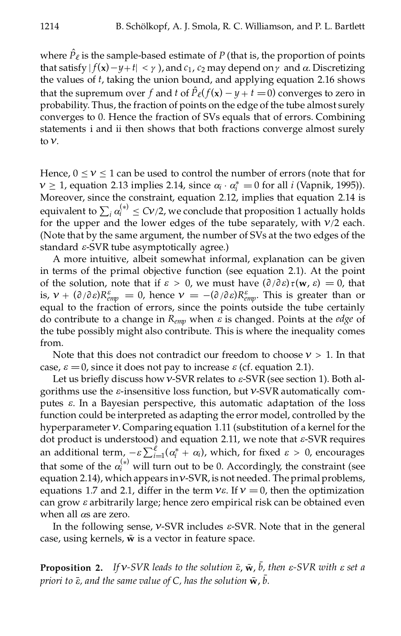where  $P_{\ell}$  is the sample-based estimate of  $P$  (that is, the proportion of points that satisfy  $|f(x) - y + t| < \gamma$ , and  $c_1$ ,  $c_2$  may depend on  $\gamma$  and  $\alpha$ . Discretizing the values of *t*, taking the union bound, and applying equation 2.16 shows that the supremum over *f* and *t* of  $\hat{P}_{\ell}(f(\mathbf{x}) - y + t = 0)$  converges to zero in probability. Thus, the fraction of points on the edge of the tube almost surely converges to 0. Hence the fraction of SVs equals that of errors. Combining statements i and ii then shows that both fractions converge almost surely to  $\nu$ .

Hence,  $0 \le v \le 1$  can be used to control the number of errors (note that for  $v \ge 1$ , equation 2.13 implies 2.14, since  $\alpha_i \cdot \alpha_i^* = 0$  for all *i* (Vapnik, 1995)). Moreover, since the constraint, equation 2.12, implies that equation 2.14 is equivalent to  $\sum_i \alpha_i^{(*)} \leq Cv/2$ , we conclude that proposition 1 actually holds for the upper and the lower edges of the tube separately, with *º*/2 each. (Note that by the same argument, the number of SVs at the two edges of the standard *e*-SVR tube asymptotically agree.)

A more intuitive, albeit somewhat informal, explanation can be given in terms of the primal objective function (see equation 2.1). At the point of the solution, note that if  $\varepsilon > 0$ , we must have  $(\partial/\partial \varepsilon)\tau(\mathbf{w}, \varepsilon) = 0$ , that is,  $v + (\partial/\partial \varepsilon)R_{emp}^{\varepsilon} = 0$ , hence  $v = -(\partial/\partial \varepsilon)R_{emp}^{\varepsilon}$ . This is greater than or equal to the fraction of errors, since the points outside the tube certainly do contribute to a change in *Remp* when *e* is changed. Points at the *edge* of the tube possibly might also contribute. This is where the inequality comes from.

Note that this does not contradict our freedom to choose  $v > 1$ . In that case,  $\varepsilon = 0$ , since it does not pay to increase  $\varepsilon$  (cf. equation 2.1).

Let us briefly discuss how  $v$ -SVR relates to  $\varepsilon$ -SVR (see section 1). Both algorithms use the *e*-insensitive loss function, but *º*-SVR automatically computes *e*. In a Bayesian perspective, this automatic adaptation of the loss function could be interpreted as adapting the error model, controlled by the hyperparameter*º*. Comparing equation 1.11 (substitution of a kernel forthe dot product is understood) and equation 2.11, we note that *e*-SVR requires an additional term,  $-\varepsilon \sum_{i=1}^{\ell} (\alpha_i^* + \alpha_i)$ , which, for fixed  $\varepsilon > 0$ , encourages  $i=1$ <sup>( $\alpha$ </sup>i that some of the  $\alpha_i^{(*)}$  will turn out to be 0. Accordingly, the constraint (see equation 2.14), which appears in  $v$ -SVR, is not needed. The primal problems, equations 1.7 and 2.1, differ in the term  $v \varepsilon$ . If  $v = 0$ , then the optimization can grow *e* arbitrarily large; hence zero empirical risk can be obtained even when all  $\alpha s$  are zero.

In the following sense, *º*-SVR includes *e*-SVR. Note that in the general case, using kernels,  $\bar{w}$  is a vector in feature space.

**Proposition 2.** If  $v$ -SVR leads to the solution  $\bar{\varepsilon}$ ,  $\bar{w}$ ,  $\bar{b}$ , then  $\varepsilon$ -SVR with  $\varepsilon$  set a *priori* to  $\bar{\epsilon}$ , and the same value of C, has the solution  $\bar{\mathbf{w}}$ ,  $\bar{b}$ .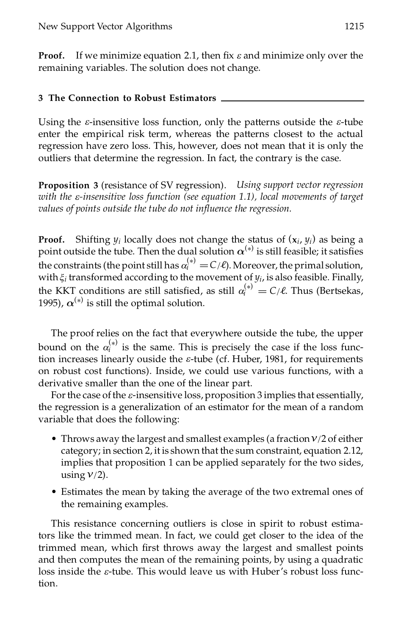**Proof.** If we minimize equation 2.1, then fix  $\varepsilon$  and minimize only over the remaining variables. The solution does not change.

## **3 The Connection to Robust Estimators**

Using the *e*-insensitive loss function, only the patterns outside the *e*-tube enter the empirical risk term, whereas the patterns closest to the actual regression have zero loss. This, however, does not mean that it is only the outliers that determine the regression. In fact, the contrary is the case.

**Proposition 3** (resistance of SV regression). *Using support vector regression with the e-insensitive loss function (see equation 1.1), local movements of target values of points outside the tube do not inuence the regression.*

**Proof.** Shifting  $y_i$  locally does not change the status of  $(x_i, y_i)$  as being a point outside the tube. Then the dual solution  $\alpha^{(*)}$  is still feasible; it satisfies the constraints (the point still has  $\alpha_i^{(*)} = C/\ell$ ). Moreover, the primal solution, with  $\xi$ <sup>*i*</sup> transformed according to the movement of  $y$ <sup>*i*</sup>, is also feasible. Finally, the KKT conditions are still satisfied, as still  $\alpha_i^{(*)} = C/\ell$ . Thus (Bertsekas, 1995)*,*  $\alpha^{(*)}$  *is still the optimal solution.* 

The proof relies on the fact that everywhere outside the tube, the upper bound on the  $\alpha_i^{(*)}$  is the same. This is precisely the case if the loss function increases linearly ouside the *e*-tube (cf. Huber, 1981, for requirements on robust cost functions). Inside, we could use various functions, with a derivative smaller than the one of the linear part.

For the case of the  $\varepsilon$ -insensitive loss, proposition 3 implies that essentially, the regression is a generalization of an estimator for the mean of a random variable that does the following:

- Throws away the largest and smallest examples (a fraction*º*/2 of either category; in section 2, it is shown that the sum constraint, equation 2.12, implies that proposition 1 can be applied separately for the two sides, using  $v/2$ ).
- Estimates the mean by taking the average of the two extremal ones of the remaining examples.

This resistance concerning outliers is close in spirit to robust estimators like the trimmed mean. In fact, we could get closer to the idea of the trimmed mean, which first throws away the largest and smallest points and then computes the mean of the remaining points, by using a quadratic loss inside the *e*-tube. This would leave us with Huber's robust loss function.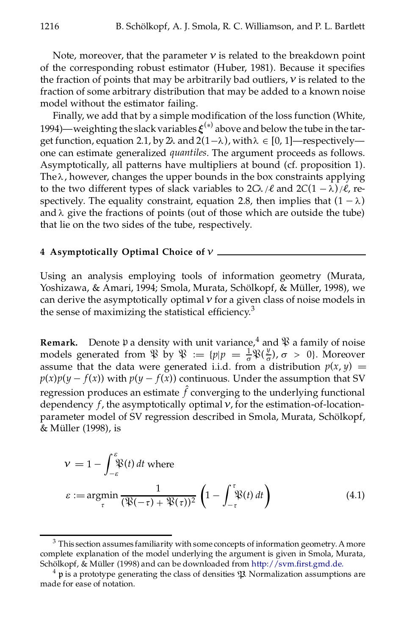Note, moreover, that the parameter  $\nu$  is related to the breakdown point of the corresponding robust estimator (Huber, 1981). Because it specifies the fraction of points that may be arbitrarily bad outliers,  $\nu$  is related to the fraction of some arbitrary distribution that may be added to a known noise model without the estimator failing.

Finally, we add that by a simple modification of the loss function (White, 1994)—weighting the slack variables  $\xi^{(*)}$  above and below the tube in the target function, equation 2.1, by 2 $\lambda$  and  $2(1-\lambda)$ , with  $\lambda \in [0, 1]$ —respectively one can estimate generalized *quantiles*. The argument proceeds as follows. Asymptotically, all patterns have multipliers at bound (cf. proposition 1). The  $\lambda$ , however, changes the upper bounds in the box constraints applying to the two different types of slack variables to  $2C\lambda/\ell$  and  $2C(1 - \lambda)/\ell$ , respectively. The equality constraint, equation 2.8, then implies that  $(1 - \lambda)$ and  $\lambda$  give the fractions of points (out of those which are outside the tube) that lie on the two sides of the tube, respectively.

### **4 Asymptotically Optimal Choice of** *º*

Using an analysis employing tools of information geometry (Murata, Yoshizawa, & Amari, 1994; Smola, Murata, Schölkopf, & Müller, 1998), we can derive the asymptotically optimal*º* for a given class of noise models in the sense of maximizing the statistical efficiency.<sup>3</sup>

**Remark.** Denote  $\mathfrak p$  a density with unit variance,  $\mathfrak q$  and  $\mathfrak P$  a family of noise models generated from  $\mathcal{R}$  by  $\mathcal{R} := \{p|p = \frac{1}{\sigma}\mathcal{R}(\frac{y}{\sigma}), \sigma > 0\}$ . Moreover assume that the data were generated i.i.d. from a distribution  $p(x, y) =$  $p(x)p(y - f(x))$  with  $p(y - f(x))$  continuous. Under the assumption that SV  $r$ egression produces an estimate  $f$  converging to the underlying functional dependency *f*, the asymptotically optimal*º*, for the estimation-of-locationparameter model of SV regression described in Smola, Murata, Schölkopf, & Müller (1998), is

$$
\nu = 1 - \int_{-\varepsilon}^{\varepsilon} \mathfrak{P}(t) dt \text{ where}
$$
  

$$
\varepsilon := \underset{\tau}{\operatorname{argmin}} \frac{1}{(\mathfrak{P}(-\tau) + \mathfrak{P}(\tau))^2} \left(1 - \int_{-\tau}^{\tau} \mathfrak{P}(t) dt\right)
$$
(4.1)

 $3$  This section assumes familiarity with some concepts of information geometry. A more complete explanation of the model underlying the argument is given in Smola, Murata, Schölkopf, & Müller (1998) and can be downloaded from http://svm.first.gmd.de.

 $4$  p is a prototype generating the class of densities  $\mathfrak P$ . Normalization assumptions are made for ease of notation.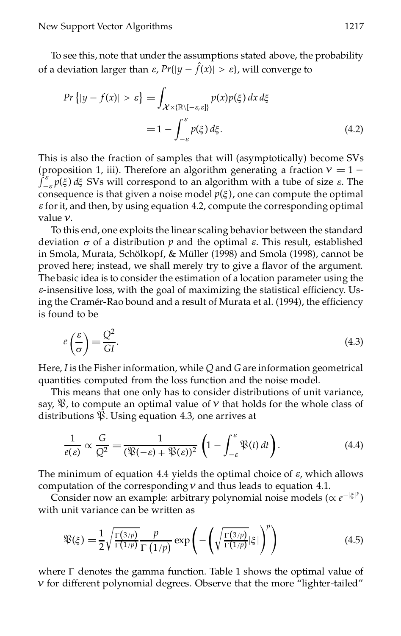To see this, note that under the assumptions stated above, the probability of a deviation larger than  $\varepsilon$ ,  $Pr\{|y - f(x)| > \varepsilon\}$ , will converge to

$$
Pr\{|y - f(x)| > \varepsilon\} = \int_{\mathcal{X} \times (\mathbb{R} \setminus [-\varepsilon, \varepsilon])} p(x) p(\xi) dx d\xi
$$
  
= 
$$
1 - \int_{-\varepsilon}^{\varepsilon} p(\xi) d\xi.
$$
 (4.2)

This is also the fraction of samples that will (asymptotically) become SVs (proposition 1, iii). Therefore an algorithm generating a fraction  $v = 1 \int_{-\varepsilon}^{\varepsilon} p(\xi) d\xi$  SVs will correspond to an algorithm with a tube of size  $\varepsilon$ . The consequence is that given a noise model  $p(\xi)$ , one can compute the optimal  $\varepsilon$  for it, and then, by using equation 4.2, compute the corresponding optimal value *º*.

To this end, one exploits the linear scaling behavior between the standard deviation  $\sigma$  of a distribution  $p$  and the optimal  $\varepsilon$ . This result, established in Smola, Murata, Schölkopf, & Müller (1998) and Smola (1998), cannot be proved here; instead, we shall merely try to give a flavor of the argument. The basic idea is to consider the estimation of a location parameter using the  $\varepsilon$ -insensitive loss, with the goal of maximizing the statistical efficiency. Using the Cramér-Rao bound and a result of Murata et al. (1994), the efficiency is found to be

$$
e\left(\frac{\varepsilon}{\sigma}\right) = \frac{Q^2}{GI}.\tag{4.3}
$$

Here,  $I$  is the Fisher information, while  $Q$  and  $G$  are information geometrical quantities computed from the loss function and the noise model.

This means that one only has to consider distributions of unit variance, say,  $\mathcal{X}$ , to compute an optimal value of  $\nu$  that holds for the whole class of distributions  $\mathcal{X}$ . Using equation 4.3, one arrives at

$$
\frac{1}{e(\varepsilon)} \propto \frac{G}{Q^2} = \frac{1}{(\mathfrak{P}(-\varepsilon) + \mathfrak{P}(\varepsilon))^2} \left(1 - \int_{-\varepsilon}^{\varepsilon} \mathfrak{P}(t) dt\right).
$$
 (4.4)

The minimum of equation 4.4 yields the optimal choice of *e*, which allows computation of the corresponding*º* and thus leads to equation 4.1.

Consider now an example: arbitrary polynomial noise models ( $\propto e^{-|\xi|^p}$ ) with unit variance can be written as

$$
\mathfrak{P}(\xi) = \frac{1}{2} \sqrt{\frac{\Gamma(3/p)}{\Gamma(1/p)}} \frac{p}{\Gamma(1/p)} \exp\left(-\left(\sqrt{\frac{\Gamma(3/p)}{\Gamma(1/p)}} |\xi|\right)^p\right) \tag{4.5}
$$

where  $\Gamma$  denotes the gamma function. Table 1 shows the optimal value of *º* for different polynomial degrees. Observe that the more "lighter-tailed"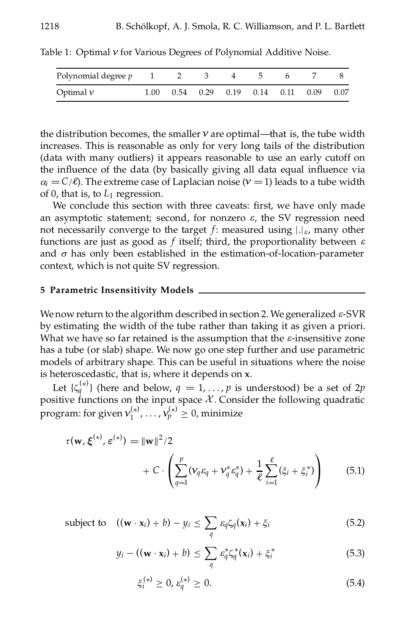| Polynomial degree $p$ 1 2 3 4 5 |      |  |  |                                                  |  |
|---------------------------------|------|--|--|--------------------------------------------------|--|
| Optimal $\nu$                   | 1.00 |  |  | $0.54$ $0.29$ $0.19$ $0.14$ $0.11$ $0.09$ $0.07$ |  |

Table 1: Optimal  $v$  for Various Degrees of Polynomial Additive Noise.

the distribution becomes, the smaller  $\nu$  are optimal—that is, the tube width increases. This is reasonable as only for very long tails of the distribution (data with many outliers) it appears reasonable to use an early cutoff on the influence of the data (by basically giving all data equal influence via  $\alpha$ <sup>*i*</sup> =  $C/\ell$ ). The extreme case of Laplacian noise ( $\nu$  = 1) leads to a tube width of 0, that is, to *L*<sup>1</sup> regression.

We conclude this section with three caveats: first, we have only made an asymptotic statement; second, for nonzero  $\varepsilon$ , the SV regression need not necessarily converge to the target  $f$ : measured using  $\left| \cdot \right|_{\varepsilon}$ , many other functions are just as good as *f* itself; third, the proportionality between *e* and  $\sigma$  has only been established in the estimation-of-location-parameter context, which is not quite SV regression.

### **5 Parametric Insensitivity Models**

Wenow return to the algorithm describedin section 2. We generalized *e*-SVR by estimating the width of the tube rather than taking it as given a priori. What we have so far retained is the assumption that the *e*-insensitive zone has a tube (or slab) shape. We now go one step further and use parametric models of arbitrary shape. This can be useful in situations where the noise

is heteroscedastic, that is, where it depends on **x**.<br>Let  $\{\zeta_q^{(*)}\}\$  (here and below,  $q = 1, ..., p$  is understood) be a set of 2*p* positive functions on the input space *X*. Consider the following quadratic program: for given  $\mathcal{V}^{(*)}_1, \ldots, \mathcal{V}^{(*)}_p \geq 0$ , minimize

$$
\tau(\mathbf{w}, \xi^{(*)}, \varepsilon^{(*)}) = ||\mathbf{w}||^2 / 2 + C \cdot \left( \sum_{q=1}^p (\nu_q \varepsilon_q + \nu_q^* \varepsilon_q^*) + \frac{1}{\ell} \sum_{i=1}^\ell (\xi_i + \xi_i^*) \right)
$$
(5.1)

subject to 
$$
((\mathbf{w} \cdot \mathbf{x}_i) + b) - y_i \le \sum_q \varepsilon_q \zeta_q(\mathbf{x}_i) + \xi_i
$$
 (5.2)

$$
y_i - ((\mathbf{w} \cdot \mathbf{x}_i) + b) \leq \sum_{q} \varepsilon_q^* \zeta_q^* (\mathbf{x}_i) + \xi_i^* \tag{5.3}
$$

$$
\xi_i^{(*)} \ge 0, \, \varepsilon_q^{(*)} \ge 0. \tag{5.4}
$$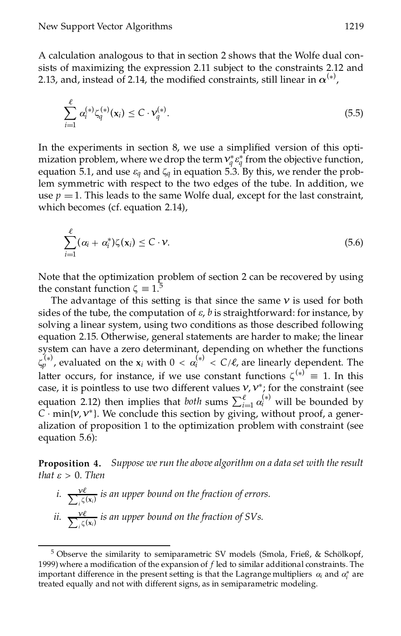A calculation analogous to that in section 2 shows that the Wolfe dual consists of maximizing the expression 2.11 subject to the constraints 2.12 and 2.13, and, instead of 2.14, the modified constraints, still linear in  $\alpha^{(*)}$ ,

$$
\sum_{i=1}^{\ell} \alpha_i^{(*)} \zeta_q^{(*)}(\mathbf{x}_i) \le C \cdot \mathcal{V}_q^{(*)}.
$$
\n(5.5)

In the experiments in section 8, we use a simplified version of this optimization problem, where we drop the term  $v_q^* \varepsilon_q^*$  from the objective function, equation 5.1, and use  $\varepsilon_q$  and  $\zeta_q$  in equation 5.3. By this, we render the problem symmetric with respect to the two edges of the tube. In addition, we use  $p = 1$ . This leads to the same Wolfe dual, except for the last constraint, which becomes (cf. equation 2.14),

$$
\sum_{i=1}^{\ell} (\alpha_i + \alpha_i^*) \zeta(\mathbf{x}_i) \leq C \cdot \mathbf{v}.\tag{5.6}
$$

Note that the optimization problem of section 2 can be recovered by using the constant function  $\zeta = 1$ .<sup>5</sup>

The advantage of this setting is that since the same  $\nu$  is used for both sides of the tube, the computation of  $\varepsilon$ ,  $b$  is straightforward: for instance, by solving a linear system, using two conditions as those described following equation 2.15. Otherwise, general statements are harder to make; the linear system can have a zero determinant, depending on whether the functions  $\zeta_p^{(*)}$ , evaluated on the  $\mathsf{x}_i$  with  $0 < \alpha_i^{(*)} < C/\ell$ , are linearly dependent. The latter occurs, for instance, if we use constant functions  $\zeta^{(*)} \equiv 1$ . In this case, it is pointless to use two different values  $v$ ,  $v^*$ ; for the constraint (see equation 2.12) then implies that *both* sums  $\sum_{i=1}^{\ell} \alpha_i^{(*)}$  will be bounded by *C*  $\cdot$  min{*v*, *v*<sup>\*</sup>}. We conclude this section by giving, without proof, a generalization of proposition 1 to the optimization problem with constraint (see equation 5.6):

**Proposition 4.** *Suppose we run the above algorithm on a data set with the result that*  $\varepsilon > 0$ *. Then* 

*i.*  $\sum_{i}^{\mathcal{V}\ell}$  *z*<sub>*i*</sub> $\zeta(\mathbf{x}_i)$  *is an upper bound on the fraction of errors. ii.*  $\sum_{i}^{\mathbf{v}\ell}$  *is an upper bound on the fraction of SVs.* 

 $5$  Observe the similarity to semiparametric SV models (Smola, Frieß, & Schölkopf, 1999) where a modification of the expansion of f led to similar additional constraints. The important difference in the present setting is that the Lagrange multipliers  $\alpha_i$  and  $\alpha_i^*$  are treated equally and not with different signs, as in semiparametric modeling.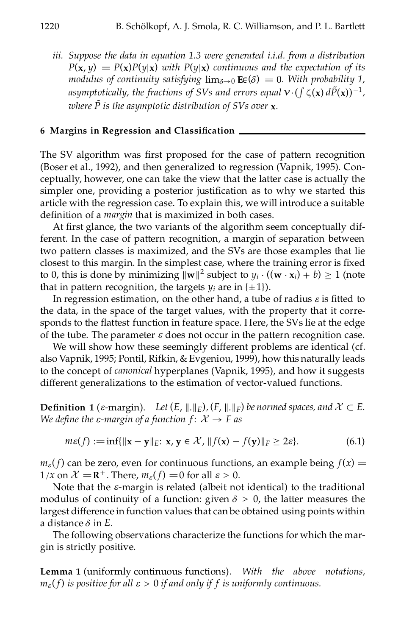*iii. Suppose the data in equation 1.3 were generated i.i.d. from a distribution*  $P(\mathbf{x}, y) = P(\mathbf{x})P(y|\mathbf{x})$  *with*  $P(y|\mathbf{x})$  *continuous and* the *expectation* of *its modulus* of *continuity* satisfying  $\lim_{\delta \to 0}$  **E** $\epsilon(\delta) = 0$ *. With probability* 1, *asymptotically, the fractions of SVs and errors equal*  $v \cdot (f \zeta(\mathbf{x}) d\tilde{P}(\mathbf{x}))^{-1}$ , *where*  $\tilde{P}$  *is the asymptotic distribution of SVs over* **x***.* 

#### **6 Margins in Regression and Classication**

The SV algorithm was first proposed for the case of pattern recognition (Boser et al., 1992), and then generalized to regression (Vapnik, 1995). Conceptually, however, one can take the view that the latter case is actually the simpler one, providing a posterior justification as to why we started this article with the regression case. To explain this, we will introduce a suitable definition of a *margin* that is maximized in both cases.

At first glance, the two variants of the algorithm seem conceptually different. In the case of pattern recognition, a margin of separation between two pattern classes is maximized, and the SVs are those examples that lie closest to this margin. In the simplest case, where the training error is fixed to 0, this is done by minimizing  $\|\mathbf{w}\|^2$  subject to  $y_i \cdot ((\mathbf{w} \cdot \mathbf{x}_i) + b) \ge 1$  (note that in pattern recognition, the targets  $y_i$  are in  $\{\pm 1\}$ ).

In regression estimation, on the other hand, a tube of radius  $\varepsilon$  is fitted to the data, in the space of the target values, with the property that it corresponds to the flattest function in feature space. Here, the SVs lie at the edge of the tube. The parameter  $\varepsilon$  does not occur in the pattern recognition case.

We will show how these seemingly different problems are identical (cf. also Vapnik, 1995; Pontil, Rifkin, & Evgeniou, 1999), how this naturally leads to the concept of *canonical* hyperplanes (Vapnik, 1995), and how it suggests different generalizations to the estimation of vector-valued functions.

**Definition 1** ( $\varepsilon$ -margin). Let  $(E, \|\cdot\|_E)$ ,  $(F, \|\cdot\|_F)$  be normed spaces, and  $\mathcal{X} \subset E$ . *We define the*  $\varepsilon$ *-margin of a function*  $f: X \rightarrow F$  *as* 

$$
m\varepsilon(f) := \inf\{\|\mathbf{x} - \mathbf{y}\|_{E}: \mathbf{x}, \mathbf{y} \in \mathcal{X}, \, \|f(\mathbf{x}) - f(\mathbf{y})\|_{F} \ge 2\varepsilon\}.
$$
 (6.1)

 $m_{\varepsilon}(f)$  can be zero, even for continuous functions, an example being  $f(x) =$  $1/x$  on  $\mathcal{X} = \mathbb{R}^+$ . There,  $m_{\varepsilon}(f) = 0$  for all  $\varepsilon > 0$ .

Note that the *e*-margin is related (albeit not identical) to the traditional modulus of continuity of a function: given  $\delta > 0$ , the latter measures the largest difference in function values that can be obtained using points within a distance  $\delta$  in  $E$ .<br>The following observations characterize the functions for which the mar-

gin is strictly positive.

**Lemma 1** (uniformly continuous functions). *With the above notations,*  $m_{\varepsilon}(f)$  *is positive for all*  $\varepsilon > 0$  *if and only if f is uniformly continuous.*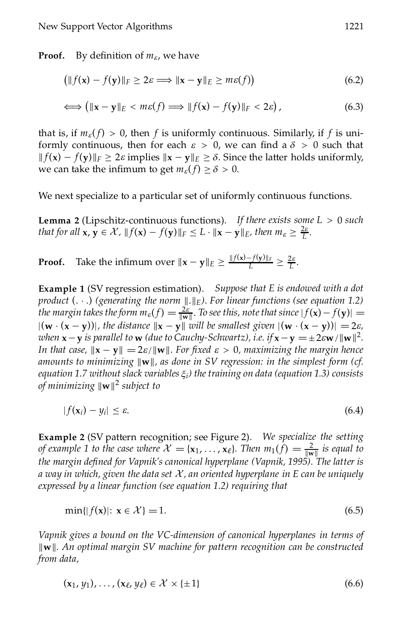**Proof.** By definition of  $m_{\varepsilon}$ , we have

$$
\left( \|f(\mathbf{x}) - f(\mathbf{y})\|_{F} \ge 2\varepsilon \Longrightarrow \|\mathbf{x} - \mathbf{y}\|_{E} \ge m\varepsilon(f) \right) \tag{6.2}
$$

$$
\Longleftrightarrow \left(\|\mathbf{x}-\mathbf{y}\|_{E} < m\varepsilon(f) \Longrightarrow \|f(\mathbf{x})-f(\mathbf{y})\|_{F} < 2\varepsilon\right),\tag{6.3}
$$

that is, if  $m_{\varepsilon}(f) > 0$ , then *f* is uniformly continuous. Similarly, if *f* is uniformly continuous, then for each  $\varepsilon > 0$ , we can find a  $\delta > 0$  such that  $|| f(x) - f(y)||_F \geq 2\varepsilon$  implies  $||x - y||_E \geq \delta$ . Since the latter holds uniformly, we can take the infimum to get  $m_{\varepsilon}(f) \ge \delta > 0$ .

We next specialize to a particular set of uniformly continuous functions.

**Lemma 2** (Lipschitz-continuous functions). *If there exists some L* > 0 *such that for all*  $\mathbf{x}, \mathbf{y} \in \mathcal{X}$ ,  $||f(\mathbf{x}) - f(\mathbf{y})||_F \leq L \cdot ||\mathbf{x} - \mathbf{y}||_F$ , then  $m_{\varepsilon} \geq \frac{2\varepsilon}{L}$ .

**Proof.** Take the infimum over  $\|\mathbf{x} - \mathbf{y}\|_E \ge \frac{\|f(\mathbf{x}) - f(\mathbf{y})\|_F}{L} \ge \frac{2\varepsilon}{L}$ .

**Example 1** (SV regression estimation). *Suppose that E is endowed with a dot product*  $( . . . )$  (generating the norm  $\| . \|_E$ ). For linear functions (see equation 1.2) *the margin takes the form*  $m_{\varepsilon}(f) = \frac{2\varepsilon}{\|w\|}$ . *To see this, note that since*  $|f(\mathbf{x}) - f(\mathbf{y})| =$  $|(\mathbf{w} \cdot (\mathbf{x} - \mathbf{y}))|$ , the distance  $\|\mathbf{x} - \mathbf{y}\|$  will be smallest given  $|(\mathbf{w} \cdot (\mathbf{x} - \mathbf{y}))| = 2\varepsilon$ , 2 *. In that case,*  $\|\mathbf{x} - \mathbf{y}\| = 2\varepsilon / \|\mathbf{w}\|$ . For fixed  $\varepsilon > 0$ , maximizing the margin hence *amounts to minimizing* k**w**k*, as done in SV regression: in the simplest form (cf. equation 1.7 without slack variables ji) the training on data (equation 1.3) consists of minimizing* k**w**k <sup>2</sup> *subject to*

$$
|f(\mathbf{x}_i) - y_i| \le \varepsilon. \tag{6.4}
$$

**Example 2** (SV pattern recognition; see Figure 2). *We specialize the setting of example* 1 *to the case where*  $\mathcal{X} = \{x_1, \ldots, x_\ell\}$ . Then  $m_1(f) = \frac{2}{\|w\|}$  *is equal to the margin defined for Vapnik's canonical hyperplane (Vapnik, 1995).* The latter *is a way in which, given the data set* X*, an oriented hyperplane in E can be uniquely expressed by a linear function (see equation 1.2) requiring that*

$$
\min\{|f(\mathbf{x})|: \mathbf{x} \in \mathcal{X}\} = 1. \tag{6.5}
$$

*Vapnik gives a bound on the VC-dimension of canonical hyperplanes in terms of* k**w**k*. An optimal margin SV machine for pattern recognition can be constructed from data,*

$$
(\mathbf{x}_1, y_1), \dots, (\mathbf{x}_{\ell}, y_{\ell}) \in \mathcal{X} \times \{\pm 1\} \tag{6.6}
$$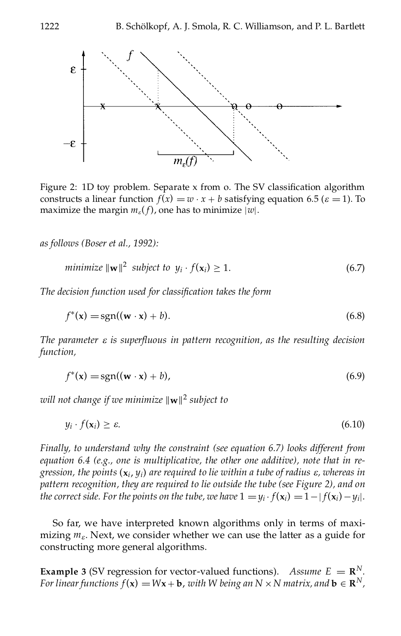

Figure 2: 1D toy problem. Separate x from o. The SV classification algorithm constructs a linear function *f*(*x*) = *w*  $\cdot$  *x* + *b* satisfying equation 6.5 ( $\varepsilon$  = 1). To maximize the margin *m*<sub>*e*</sub>(*f*), one has to minimize |*w*|.

*as follows (Boser et al., 1992):*

$$
minimize \|\mathbf{w}\|^2 \text{ subject to } y_i \cdot f(\mathbf{x}_i) \ge 1. \tag{6.7}
$$

*The decision function used for classication takes the form*

$$
f^*(\mathbf{x}) = \text{sgn}((\mathbf{w} \cdot \mathbf{x}) + b). \tag{6.8}
$$

 $The parameter  $\varepsilon$  is superfluous in pattern recognition, as the resulting decision$ *function,*

$$
f^*(\mathbf{x}) = \text{sgn}((\mathbf{w} \cdot \mathbf{x}) + b), \tag{6.9}
$$

*will not change if we minimize* k**w**k <sup>2</sup> *subject to*

$$
y_i \cdot f(\mathbf{x}_i) \ge \varepsilon. \tag{6.10}
$$

*Finally, to understand why the constraint (see equation 6.7) looks different from equation 6.4 (e.g., one is multiplicative, the other one additive), note that in re*gression, the points  $(x_i, y_i)$  are required to lie within a tube of radius  $\varepsilon$ , whereas in *pattern recognition, they are required to lie outside the tube (see Figure 2), and on* the correct side. For the points on the tube, we have  $1 = y_i \cdot f(\mathbf{x}_i) = 1 - |f(\mathbf{x}_i) - y_i|$ .

So far, we have interpreted known algorithms only in terms of maximizing  $m_{\varepsilon}$ . Next, we consider whether we can use the latter as a guide for constructing more general algorithms.

**Example** 3 (SV regression for vector-valued functions). *Assume*  $E = \mathbf{R}^N$ . *For linear functions*  $f(\mathbf{x}) = W\mathbf{x} + \mathbf{b}$ , with W being an  $N \times N$  matrix, and  $\mathbf{b} \in \mathbb{R}^N$ ,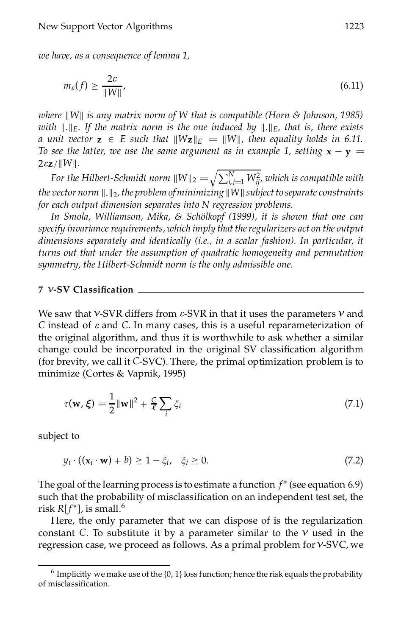*we have, as a consequence of lemma 1,*

$$
m_{\varepsilon}(f) \ge \frac{2\varepsilon}{\|W\|},\tag{6.11}
$$

*where* k*W*k *is any matrix norm of W that is compatible (Horn & Johnson, 1985) with*  $\Vert . \Vert_E$ *. If the matrix norm is the one induced by*  $\Vert . \Vert_E$ *, that is, there exists a unit vector*  $z \in E$  *such that*  $\|Wz\|_E = \|W\|$ *, then equality holds in 6.11. To see the latter, we use the same argument as in example* 1, *setting*  $\mathbf{x} - \mathbf{y} =$  $2\varepsilon z / ||W||$ .

*For the Hilbert-Schmidt norm*  $\|W\|_2 = \sqrt{\sum_{i,j=1}^N W_{ij}^2}$ , which is compatible with *the* vector norm  $\Vert . \Vert_2$ , the problem of minimizing  $\Vert W \Vert$  subject to separate constraints *for each output dimension separates into N regression problems.*

*In Smola, Williamson, Mika, & Scholkopf ¨ (1999), it is shown that one can specify invariance requirements, which imply that theregularizers act on the output dimensions separately and identically (i.e., in a scalar fashion). In particular, it turns out that under the assumption of quadratic homogeneity and permutation symmetry, the Hilbert-Schmidt norm is the only admissible one.*

#### **7** *º***-SV Classication**

We saw that *º*-SVR differs from *e*-SVR in that it uses the parameters *º* and *C* instead of *e* and *C*. In many cases, this is a useful reparameterization of the original algorithm, and thus it is worthwhile to ask whether a similar change could be incorporated in the original SV classification algorithm (for brevity, we call it *C*-SVC). There, the primal optimization problem is to minimize (Cortes & Vapnik, 1995)

$$
\tau(\mathbf{w}, \boldsymbol{\xi}) = \frac{1}{2} \|\mathbf{w}\|^2 + \frac{C}{\ell} \sum_{i} \xi_i
$$
\n(7.1)

subject to

$$
y_i \cdot ((\mathbf{x}_i \cdot \mathbf{w}) + b) \ge 1 - \xi_i, \quad \xi_i \ge 0. \tag{7.2}
$$

The goal of the learning process is to estimate a function  $f^*$  (see equation 6.9) such that the probability of misclassification on an independent test set, the risk  $R[f^*]$ , is small.<sup>6</sup>

Here, the only parameter that we can dispose of is the regularization constant *C*. To substitute it by a parameter similar to the  $\nu$  used in the regression case, we proceed as follows. As a primal problem for*º*-SVC, we

 $^6$  Implicitly we make use of the {0, 1} loss function; hence the risk equals the probability of misclassification.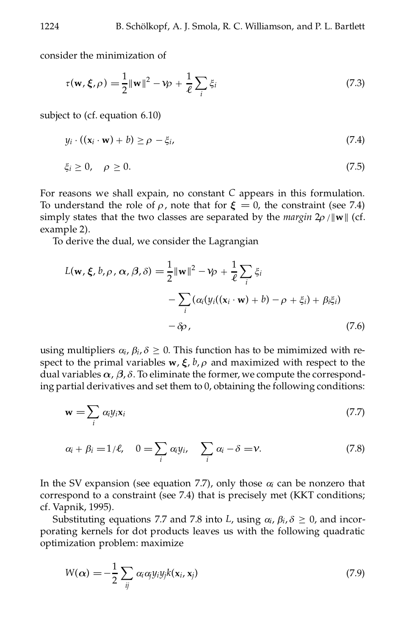consider the minimization of

$$
\tau(\mathbf{w}, \boldsymbol{\xi}, \rho) = \frac{1}{2} ||\mathbf{w}||^2 - \gamma \rho + \frac{1}{\ell} \sum_{i} \xi_i
$$
 (7.3)

subject to (cf. equation 6.10)

$$
y_i \cdot ((\mathbf{x}_i \cdot \mathbf{w}) + b) \ge \rho - \xi_i, \tag{7.4}
$$

$$
\xi_i \geq 0, \quad \rho \geq 0. \tag{7.5}
$$

For reasons we shall expain, no constant *C* appears in this formulation. To understand the role of  $\rho$ , note that for  $\xi = 0$ , the constraint (see 7.4) simply states that the two classes are separated by the *margin*  $2\rho / ||\mathbf{w}||$  (cf. example 2).

To derive the dual, we consider the Lagrangian

$$
L(\mathbf{w}, \xi, b, \rho, \alpha, \beta, \delta) = \frac{1}{2} ||\mathbf{w}||^2 - \gamma \rho + \frac{1}{\ell} \sum_{i} \xi_i
$$
  
- 
$$
\sum_{i} (\alpha_i (y_i((\mathbf{x}_i \cdot \mathbf{w}) + b) - \rho + \xi_i) + \beta_i \xi_i)
$$
  
-  $\delta \rho$ , (7.6)

using multipliers  $\alpha_i$ ,  $\beta_i$ ,  $\delta \geq 0$ . This function has to be mimimized with respect to the primal variables  $w, \xi, b, \rho$  and maximized with respect to the dual variables  $\alpha$ ,  $\beta$ ,  $\delta$ . To eliminate the former, we compute the corresponding partial derivatives and set them to 0, obtaining the following conditions:

$$
\mathbf{w} = \sum_{i} \alpha_i y_i \mathbf{x}_i \tag{7.7}
$$

$$
\alpha_i + \beta_i = 1/\ell, \quad 0 = \sum_i \alpha_i y_i, \quad \sum_i \alpha_i - \delta = \nu.
$$
 (7.8)

In the SV expansion (see equation 7.7), only those  $\alpha_i$  can be nonzero that correspond to a constraint (see 7.4) that is precisely met (KKT conditions; cf. Vapnik, 1995).

Substituting equations 7.7 and 7.8 into *L*, using  $\alpha_i$ ,  $\beta_i$ ,  $\delta \ge 0$ , and incorporating kernels for dot products leaves us with the following quadratic optimization problem: maximize

$$
W(\alpha) = -\frac{1}{2} \sum_{ij} \alpha_i \alpha_j y_i y_j k(\mathbf{x}_i, \mathbf{x}_j)
$$
\n(7.9)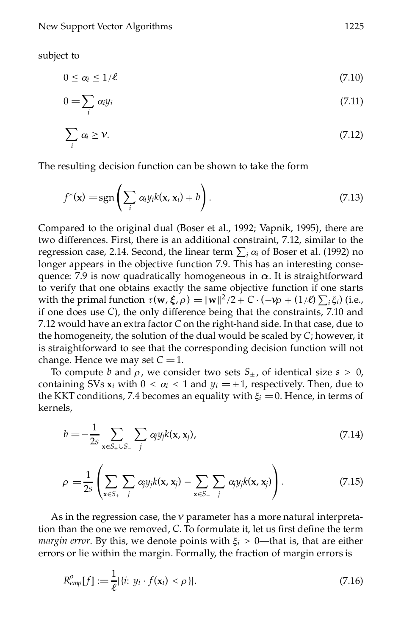subject to

$$
0 \leq \alpha_i \leq 1/\ell \tag{7.10}
$$

$$
0 = \sum_{i} \alpha_i y_i \tag{7.11}
$$

$$
\sum_{i} \alpha_i \ge \nu. \tag{7.12}
$$

The resulting decision function can be shown to take the form

$$
f^*(\mathbf{x}) = \text{sgn}\left(\sum_i \alpha_i y_i k(\mathbf{x}, \mathbf{x}_i) + b\right).
$$
 (7.13)

Compared to the original dual (Boser et al., 1992; Vapnik, 1995), there are two differences. First, there is an additional constraint, 7.12, similar to the two unterlices. First, there is an additional constraint, 7.12, similar to the regression case, 2.14. Second, the linear term  $\sum_i \alpha_i$  of Boser et al. (1992) no longer appears in the objective function 7.9. This has an interesting consequence: 7.9 is now quadratically homogeneous in  $\alpha$ . It is straightforward to verify that one obtains exactly the same objective function if one starts with the primal function  $\tau(\mathbf{w}, \xi, \rho) = ||\mathbf{w}||^2/2 + C \cdot (-\mathbf{w} + (1/\ell) \sum_i \xi_i)$  (i.e., if one does use *C*), the only difference being that the constraints, 7.10 and 7.12 would have an extra factor *C* on the right-hand side. In that case, due to the homogeneity, the solution of the dual would be scaled by *C*; however, it is straightforward to see that the corresponding decision function will not change. Hence we may set  $C = 1$ .

To compute *b* and  $\rho$ , we consider two sets  $S_{\pm}$ , of identical size  $s > 0$ , containing SVs  $x_i$  with  $0 < \alpha_i < 1$  and  $y_i = \pm 1$ , respectively. Then, due to the KKT conditions, 7.4 becomes an equality with  $\xi$ <sup>*i*</sup> = 0. Hence, in terms of kernels,

$$
b = -\frac{1}{2s} \sum_{\mathbf{x} \in S_+ \cup S_-} \sum_j \alpha_j y_j k(\mathbf{x}, \mathbf{x}_j), \tag{7.14}
$$

$$
\rho = \frac{1}{2s} \left( \sum_{\mathbf{x} \in S_+} \sum_j \alpha_j y_j k(\mathbf{x}, \mathbf{x}_j) - \sum_{\mathbf{x} \in S_-} \sum_j \alpha_j y_j k(\mathbf{x}, \mathbf{x}_j) \right).
$$
(7.15)

As in the regression case, the  $\nu$  parameter has a more natural interpretation than the one we removed, *C*. To formulate it, let us first define the term *margin error*. By this, we denote points with  $\xi$ <sup>*i*</sup> > 0—that is, that are either errors or lie within the margin. Formally, the fraction of margin errors is

$$
R_{emp}^{\rho}[f] := \frac{1}{\ell} |\{i: y_i \cdot f(\mathbf{x}_i) < \rho\}|. \tag{7.16}
$$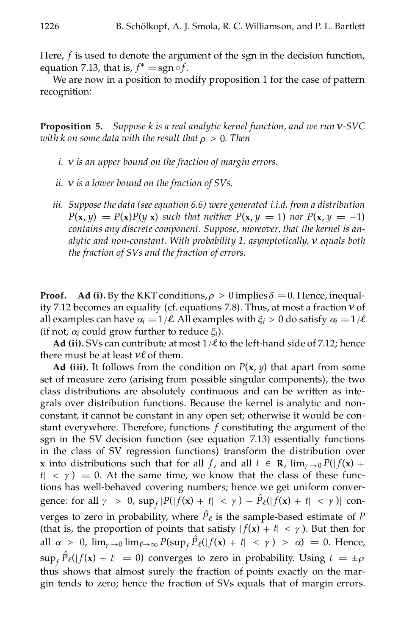Here, *f* is used to denote the argument of the sgn in the decision function, equation 7.13, that is,  $f^* = sgn \circ f$ .<br>We are now in a position to modify proposition 1 for the case of pattern

recognition:

**Proposition 5.** *Suppose k is a real analytic kernel function, and we run º-SVC with k on some data with the result that*  $\rho > 0$ *. Then* 

- *i. º is an upper bound on the fraction of margin errors.*
- *ii. º is a lower bound on the fraction of SVs.*
- *iii. Suppose the data (see equation 6.6) were generated i.i.d. from a distribution*  $P(\mathbf{x}, y) = P(\mathbf{x})P(y|\mathbf{x})$  *such that neither*  $P(\mathbf{x}, y = 1)$  *nor*  $P(\mathbf{x}, y = -1)$ *contains any discrete component. Suppose, moreover, that the kernel is analytic and non-constant. With probability 1, asymptotically, º equals both the fraction of SVs and the fraction of errors.*

**Proof.** Ad (i). By the KKT conditions,  $\rho > 0$  implies  $\delta = 0$ . Hence, inequality 7.12 becomes an equality (cf. equations 7.8). Thus, at most a fraction*º* of all examples can have  $\alpha_i = 1/\ell$ . All examples with  $\xi_i > 0$  do satisfy  $\alpha_i = 1/\ell$ (if not,  $\alpha_i$  could grow further to reduce  $\xi_i$ ).

**Ad** (ii). SVs can contribute at most  $1/\ell$  to the left-hand side of 7.12; hence there must be at least  $v\ell$  of them.

**Ad** (iii). It follows from the condition on  $P(x, y)$  that apart from some set of measure zero (arising from possible singular components), the two class distributions are absolutely continuous and can be written as integrals over distribution functions. Because the kernel is analytic and nonconstant, it cannot be constant in any open set; otherwise it would be constant everywhere. Therefore, functions *f* constituting the argument of the sgn in the SV decision function (see equation 7.13) essentially functions in the class of SV regression functions) transform the distribution over **x** into distributions such that for all *f*, and all  $t \in \mathbb{R}$ ,  $\lim_{\gamma \to 0} P(|f(x) +$  $t \mid \langle \gamma \rangle = 0$ . At the same time, we know that the class of these functions has well-behaved covering numbers; hence we get uniform convergence: for all  $\gamma > 0$ ,  $\sup_f |P(|f(x) + t| < \gamma) - P_{\ell}(|f(x) + t| < \gamma)$  converges to zero in probability, where  $\hat{P}_\ell$  is the sample-based estimate of *P* (that is, the proportion of points that satisfy  $|f(x) + t| < \gamma$ ). But then for all  $\alpha > 0$ ,  $\lim_{\gamma \to 0} \lim_{\ell \to \infty} P(\sup_{f} \hat{P}_{\ell}(|f(x) + t| < \gamma) > \alpha) = 0$ . Hence,  $\sup_f \hat{P}_\ell(|f(\mathbf{x}) + t| = 0)$  converges to zero in probability. Using  $t = \pm \rho$ thus shows that almost surely the fraction of points exactly on the mar gin tends to zero; hence the fraction of SVs equals that of margin errors.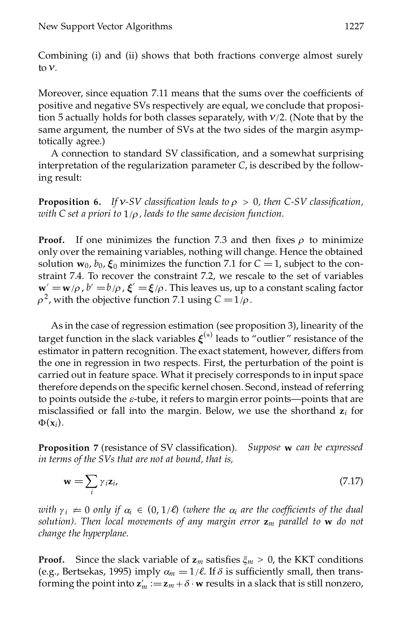Combining (i) and (ii) shows that both fractions converge almost surely to  $\nu$ .

Moreover, since equation 7.11 means that the sums over the coefficients of positive and negative SVs respectively are equal, we conclude that proposition 5 actually holds for both classes separately, with  $v/2$ . (Note that by the same argument, the number of SVs at the two sides of the margin asymptotically agree.)

A connection to standard SV classification, and a somewhat surprising interpretation of the regularization parameter *C*, is described by the following result:

**Proposition 6.** If  $v$ -SV classification leads to  $\rho > 0$ , then C-SV classification, *with C set a priori to* 1/*r , leads to the same decision function.*

**Proof.** If one minimizes the function 7.3 and then fixes  $\rho$  to minimize only over the remaining variables, nothing will change. Hence the obtained solution  $\mathbf{w}_0$ ,  $b_0$ ,  $\boldsymbol{\xi}_0$  minimizes the function 7.1 for  $C = 1$ , subject to the constraint 7.4. To recover the constraint 7.2, we rescale to the set of variables  $\mathbf{w}' = \mathbf{w}/\rho$ ,  $b' = b/\rho$ ,  $\boldsymbol{\xi}' = \boldsymbol{\xi}/\rho$ . This leaves us, up to a constant scaling factor  $\rho^2$ , with the objective function 7.1 using  $C = 1/\rho$ .

As in the case of regression estimation (see proposition 3), linearity of the target function in the slack variables  $\xi^{(*)}$  leads to "outlier" resistance of the estimator in pattern recognition. The exact statement, however, differs from the one in regression in two respects. First, the perturbation of the point is carried out in feature space. What it precisely corresponds to in input space therefore depends on the specific kernel chosen. Second, instead of referring to points outside the *e*-tube, it refers to margin error points—points that are misclassified or fall into the margin. Below, we use the shorthand  $z_i$  for  $\Phi(\mathbf{x}_i)$ .

**Proposition 7** (resistance of SV classification). *Suppose* **w** *can be expressed in terms of the SVs that are not at bound, that is,*

$$
\mathbf{w} = \sum_{i} \gamma_i \mathbf{z}_i, \tag{7.17}
$$

*with*  $\gamma_i \neq 0$  *only if*  $\alpha_i \in (0, 1/\ell)$  *(where the*  $\alpha_i$  *are the coefficients of the dual solution). Then local movements of any margin error* **z***<sup>m</sup> parallel to* **w** *do not change the hyperplane.*

**Proof.** Since the slack variable of  $z_m$  satisfies  $\xi_m > 0$ , the KKT conditions (e.g., Bertsekas, 1995) imply  $\alpha_m = 1/\ell$ . If  $\delta$  is sufficiently small, then transforming the point into  $\mathbf{z}'_m := \mathbf{z}_m + \delta \cdot \mathbf{w}$  results in a slack that is still nonzero,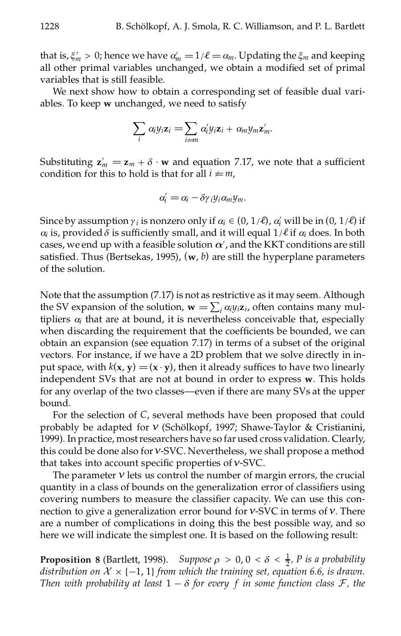that is,  $\xi'_m > 0$ ; hence we have  $\alpha'_m = 1/\ell = \alpha_m$ . Updating the  $\xi_m$  and keeping all other primal variables unchanged, we obtain a modified set of primal variables that is still feasible.

We next show how to obtain a corresponding set of feasible dual variables. To keep **w** unchanged, we need to satisfy

$$
\sum_i \alpha_i y_i \mathbf{z}_i = \sum_{i \neq m} \alpha'_i y_i \mathbf{z}_i + \alpha_m y_m \mathbf{z}'_m.
$$

Substituting  $z'_m = z_m + \delta \cdot w$  and equation 7.17, we note that a sufficient condition for this to hold is that for all  $i \neq m$ ,

$$
\alpha_i' = \alpha_i - \delta \gamma_i y_i \alpha_m y_m.
$$

Since by assumption  $\gamma_i$  is nonzero only if  $\alpha_i \in (0, 1/\ell)$ ,  $\alpha'_i$  will be in  $(0, 1/\ell)$  if  $\alpha_i$  is, provided  $\delta$  is sufficiently small, and it will equal  $1/\ell$  if  $\alpha_i$  does. In both cases, we end up with a feasible solution  $\alpha'$ , and the KKT conditions are still satisfied. Thus (Bertsekas, 1995),  $(w, b)$  are still the hyperplane parameters of the solution.

Note that the assumption (7.17) is not as restrictive as it may seem. Although the SV expansion of the solution,  $\mathbf{w} = \sum_i \alpha_i y_i \mathbf{z}_i$ , often contains many multipliers  $\alpha_i$  that are at bound, it is nevertheless conceivable that, especially when discarding the requirement that the coefficients be bounded, we can obtain an expansion (see equation 7.17) in terms of a subset of the original vectors. For instance, if we have a 2D problem that we solve directly in input space, with  $k(x, y) = (x \cdot y)$ , then it already suffices to have two linearly independent SVs that are not at bound in order to express **w**. This holds for any overlap of the two classes—even if there are many SVs at the upper bound.

For the selection of *C*, several methods have been proposed that could probably be adapted for  $v$  (Schölkopf, 1997; Shawe-Taylor & Cristianini, 1999). In practice, mostresearchers have so far used cross validation. Clearly, this could be done also for*º*-SVC. Nevertheless, we shall propose a method that takes into account specific properties of  $v$ -SVC.

The parameter  $\nu$  lets us control the number of margin errors, the crucial quantity in a class of bounds on the generalization error of classifiers using covering numbers to measure the classifier capacity. We can use this connection to give a generalization error bound for*º*-SVC in terms of*º*. There are a number of complications in doing this the best possible way, and so here we will indicate the simplest one. It is based on the following result:

**Proposition 8** (Bartlett, 1998). *Suppose*  $\rho > 0$ ,  $0 < \delta < \frac{1}{2}$ , *P is a probability distribution* on  $X \times \{-1, 1\}$  *from which the training set, equation* 6.6, *is drawn. Then with probability* at least  $1 - \delta$  *for every f in some function class*  $\mathcal{F}$ *, the*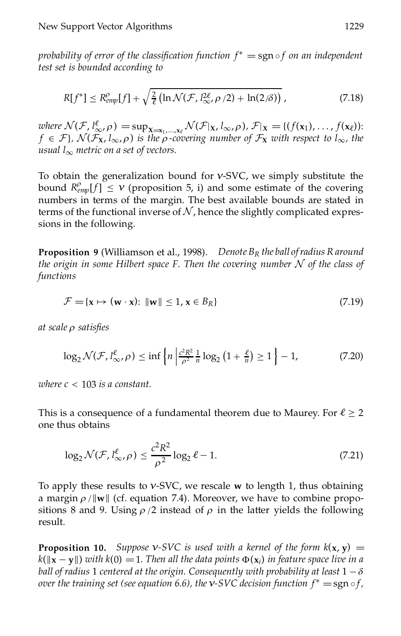*probability of error of the classification function*  $f^* = \text{sgn} \circ f$  *on an independent test set is bounded according to*

$$
R[f^*] \le R_{\text{emp}}^{\rho}[f] + \sqrt{\frac{2}{\ell} \left( \ln \mathcal{N}(\mathcal{F}, l_{\infty}^{2\ell}, \rho/2) + \ln(2/\delta) \right)},\tag{7.18}
$$

*where*  $\mathcal{N}(\mathcal{F}, l_{\infty}^{\ell}, \rho) = \sup_{\mathbf{X}=\mathbf{x}_1, ..., \mathbf{x}_{\ell}} \mathcal{N}(\mathcal{F}|\mathbf{x}, l_{\infty}, \rho), \mathcal{F}|\mathbf{x} = \{(f(\mathbf{x}_1), ..., f(\mathbf{x}_{\ell}))\}$  $f \in \mathcal{F}$ ,  $\mathcal{N}(\mathcal{F}_X, l_\infty, \rho)$  *is the*  $\rho$ *-covering number of*  $\mathcal{F}_X$  *with respect to*  $l_\infty$ *, the usual*  $l_{\infty}$  *metric on a set of vectors.* 

To obtain the generalization bound for *º*-SVC, we simply substitute the bound  $R_{emp}^{\rho}[f] \leq \nu$  (proposition 5, i) and some estimate of the covering numbers in terms of the margin. The best available bounds are stated in terms of the functional inverse of  $N$ , hence the slightly complicated expressions in the following.

**Proposition 9** (Williamson et al., 1998). *Denote B<sup>R</sup> the ball ofradius R around the origin in some Hilbert space F. Then the covering number* N *of the class of functions*

$$
\mathcal{F} = \{ \mathbf{x} \mapsto (\mathbf{w} \cdot \mathbf{x}) : ||\mathbf{w}|| \le 1, \mathbf{x} \in B_R \}
$$
(7.19)

*at scale*  $\rho$  *satisfies* 

$$
\log_2 \mathcal{N}(\mathcal{F}, l_{\infty}^{\ell}, \rho) \le \inf \left\{ n \left| \frac{c^2 R^2}{\rho^2} \frac{1}{n} \log_2 \left( 1 + \frac{\ell}{n} \right) \ge 1 \right. \right\} - 1, \tag{7.20}
$$

*where c* < 103 *is a constant.*

This is a consequence of a fundamental theorem due to Maurey. For  $\ell \geq 2$ one thus obtains

$$
\log_2 \mathcal{N}(\mathcal{F}, l_{\infty}^{\ell}, \rho) \le \frac{c^2 R^2}{\rho^2} \log_2 \ell - 1. \tag{7.21}
$$

To apply these results to  $v$ -SVC, we rescale  $w$  to length 1, thus obtaining a margin  $\rho / ||\mathbf{w}||$  (cf. equation 7.4). Moreover, we have to combine propositions 8 and 9. Using  $\rho/2$  instead of  $\rho$  in the latter yields the following result.

**Proposition 10.** *Suppose*  $v$ -*SVC is used with a kernel of the form*  $k(x, y) = 0$  $k(\mathbf{x} - \mathbf{y})$  *with*  $k(0) = 1$ . Then all the data points  $\Phi(\mathbf{x}_i)$  in feature space live in a *ball* of *radius* 1 *centered at the origin.* Consequently *with probability at least*  $1 - \delta$ *over* the *training* set (see equation 6.6), the  $\nu$ -SVC decision function  $f^* = \text{sgn} \circ f$ ,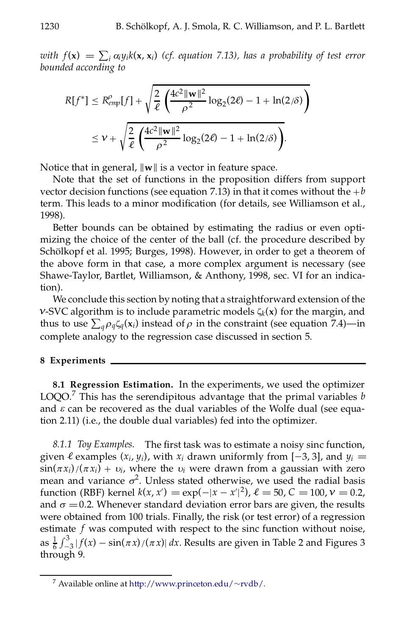with  $f(\mathbf{x}) = \sum_i \alpha_i y_i k(\mathbf{x}, \mathbf{x}_i)$  (cf. equation 7.13), has a probability of test error *bounded according to*

$$
R[f^*] \le R_{emp}^{\rho}[f] + \sqrt{\frac{2}{\ell} \left( \frac{4c^2 \|\mathbf{w}\|^2}{\rho^2} \log_2(2\ell) - 1 + \ln(2/\delta) \right)}
$$
  

$$
\le \nu + \sqrt{\frac{2}{\ell} \left( \frac{4c^2 \|\mathbf{w}\|^2}{\rho^2} \log_2(2\ell) - 1 + \ln(2/\delta) \right)}.
$$

Notice that in general,  $\|\mathbf{w}\|$  is a vector in feature space.

Note that the set of functions in the proposition differs from support vector decision functions (see equation 7.13) in that it comes without the  $+b$ term. This leads to a minor modification (for details, see Williamson et al., 1998).

Better bounds can be obtained by estimating the radius or even optimizing the choice of the center of the ball (cf. the procedure described by Schölkopf et al. 1995; Burges, 1998). However, in order to get a theorem of the above form in that case, a more complex argument is necessary (see Shawe-Taylor, Bartlet, Williamson, & Anthony, 1998, sec. VI for an indication).

We conclude this section by noting that a straightforward extension of the *v*-SVC algorithm is to include parametric models  $\zeta_k(x)$  for the margin, and  $\nu$ -5  $\nu$  C argorithm is to include parametric models  $\zeta_k(x)$  for the margin, and thus to use  $\sum_q \rho_q \zeta_q(x_i)$  instead of  $\rho$  in the constraint (see equation 7.4)—in complete analogy to the regression case discussed in section 5.

### **8 Experiments**

**8.1 Regression Estimation.** In the experiments, we used the optimizer LOQO.<sup>7</sup> This has the serendipitous advantage that the primal variables *b* and  $\varepsilon$  can be recovered as the dual variables of the Wolfe dual (see equation 2.11) (i.e., the double dual variables) fed into the optimizer.

8.1.1 *Toy Examples*. The first task was to estimate a noisy sinc function, given  $\ell$  examples  $(x_i, y_i)$ , with  $x_i$  drawn uniformly from  $[-3, 3]$ , and  $y_i =$  $\sin(\pi x_i)/(\pi x_i) + v_i$ , where the  $v_i$  were drawn from a gaussian with zero mean and variance  $\sigma^2$ . Unless stated otherwise, we used the radial basis function (RBF) kernel  $k(x, x') = \exp(-|x - x'|^2)$ ,  $\ell = 50$ ,  $C = 100$ ,  $\nu = 0.2$ , and  $\sigma = 0.2$ . Whenever standard deviation error bars are given, the results were obtained from 100 trials. Finally, the risk (or test error) of a regression estimate *f* was computed with respect to the sinc function without noise, as  $\frac{1}{6} \int_{-}^{5}$  $\frac{64}{3}$  $^{3}$   $\int_{-3}^{3} |f(x) - \sin(\pi x)/( \pi x) | dx$ . Results are given in Table 2 and Figures 3 through 9.

<sup>&</sup>lt;sup>7</sup> Available online at [http://www.princeton.edu/](http://www.princeton.edu/%7Ervdb/)~rvdb/.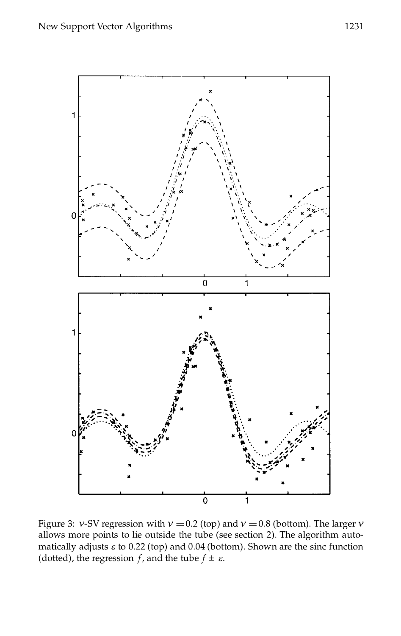

Figure 3: *v*-SV regression with  $v = 0.2$  (top) and  $v = 0.8$  (bottom). The larger *v* allows more points to lie outside the tube (see section 2). The algorithm automatically adjusts  $\varepsilon$  to 0.22 (top) and 0.04 (bottom). Shown are the sinc function (dotted), the regression *f*, and the tube  $f \pm \varepsilon$ .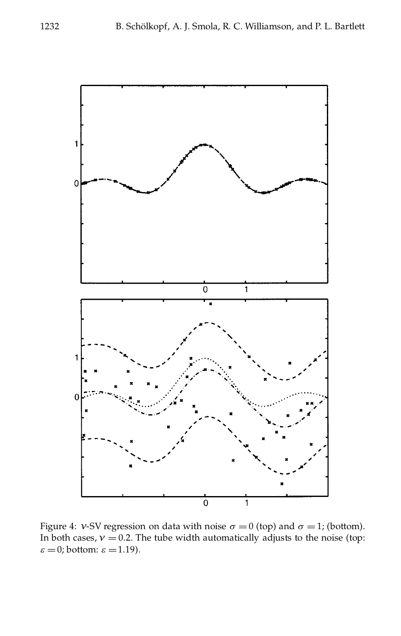

Figure 4: *v*-SV regression on data with noise  $\sigma = 0$  (top) and  $\sigma = 1$ ; (bottom). In both cases,  $v = 0.2$ . The tube width automatically adjusts to the noise (top:  $\varepsilon = 0$ ; bottom:  $\varepsilon = 1.19$ ).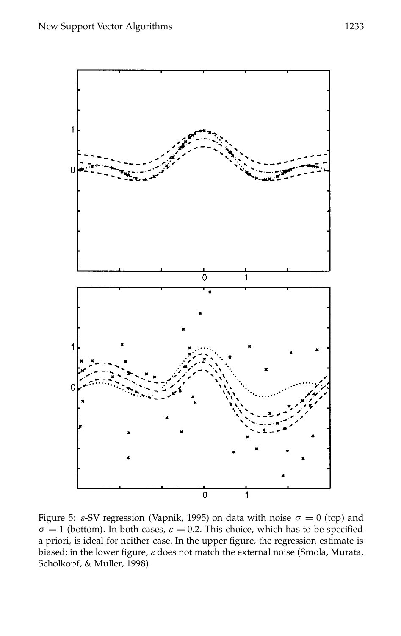

Figure 5:  $\varepsilon$ -SV regression (Vapnik, 1995) on data with noise  $\sigma = 0$  (top) and  $\sigma = 1$  (bottom). In both cases,  $\varepsilon = 0.2$ . This choice, which has to be specified a priori, is ideal for neither case. In the upper figure, the regression estimate is biased; in the lower figure,  $\varepsilon$  does not match the external noise (Smola, Murata, Schölkopf, & Müller, 1998).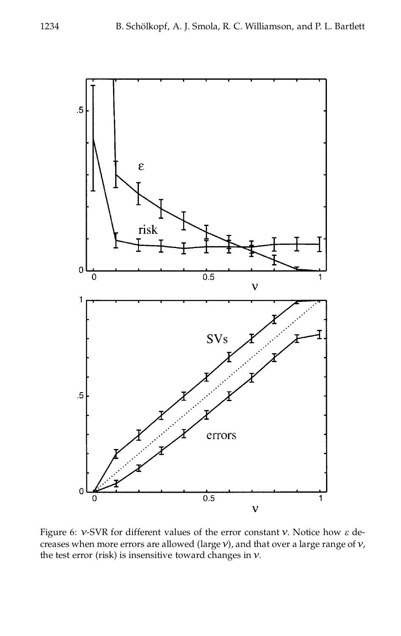

Figure 6: *º*-SVR for different values of the error constant *º*. Notice how *e* de creases when more errors are allowed (large*º*), and that over a large range of *º*, the test error (risk) is insensitive toward changes in *º*.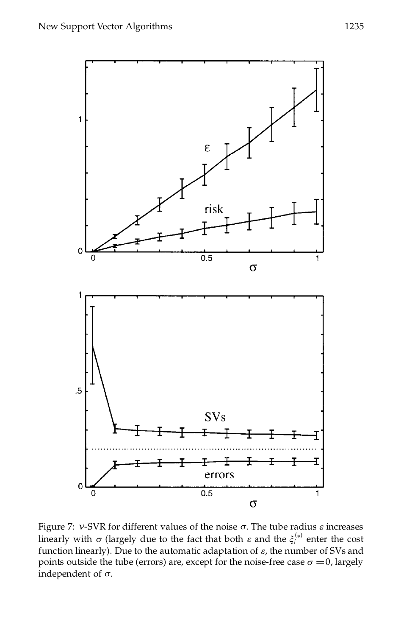

Figure 7:  $v$ -SVR for different values of the noise  $\sigma$ . The tube radius  $\varepsilon$  increases linearly with  $\sigma$  (largely due to the fact that both  $\varepsilon$  and the  $\xi_i^{(*)}$  enter the cost function linearly). Due to the automatic adaptation of  $\varepsilon$ , the number of SVs and points outside the tube (errors) are, except for the noise-free case  $\sigma = 0$ , largely independent of *s*.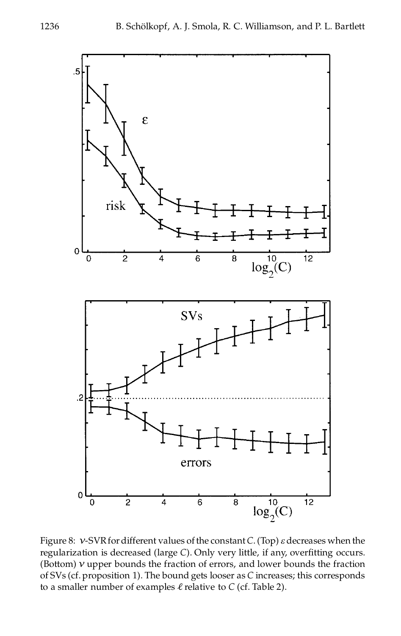

Figure 8:  $v$ -SVR for different values of the constant *C*. (Top)  $\varepsilon$  decreases when the regularization is decreased (large *C*). Only very little, if any, overfitting occurs. (Bottom)  $\nu$  upper bounds the fraction of errors, and lower bounds the fraction of SVs (cf. proposition 1). The bound gets looser as *C* increases; this corresponds to a smaller number of examples  $\ell$  relative to  $C$  (cf. Table 2).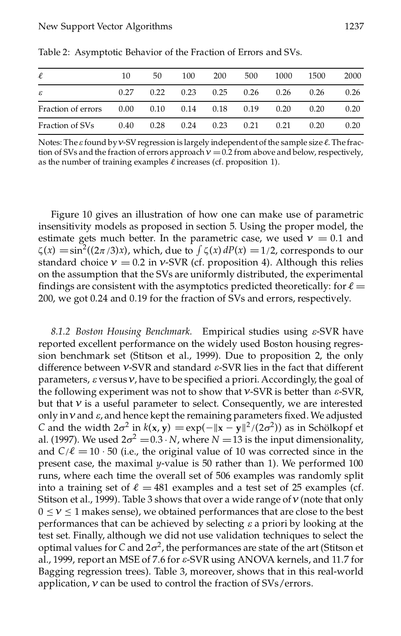| $\ell$             | 10                 | 50   | 100                  | <b>200</b> | 500  | 1000 | 1500 | 2000 |
|--------------------|--------------------|------|----------------------|------------|------|------|------|------|
| ε                  | 0.27               | 0.22 | 0.23                 | 0.25       | 0.26 | 0.26 | 0.26 | 0.26 |
| Fraction of errors | $0.00 \qquad 0.10$ |      | $0.14$ $0.18$ $0.19$ |            |      | 0.20 | 0.20 | 0.20 |
| Fraction of SVs    | 0.40               | 0.28 | 0.24                 | 0.23       | 0.21 | 0.21 | 0.20 | 0.20 |

Table 2: Asymptotic Behavior of the Fraction of Errors and SVs.

Notes: The  $\varepsilon$  found by *v*-SV regression is largely independent of the sample size  $\ell$ . The fraction of SVs and the fraction of errors approach  $v = 0.2$  from above and below, respectively, as the number of training examples  $\ell$  increases (cf. proposition 1).

Figure 10 gives an illustration of how one can make use of parametric insensitivity models as proposed in section 5.Using the proper model, the estimate gets much better. In the parametric case, we used  $v = 0.1$  and Estimate gets much better. In the parametric case, we used  $V = 0.1$  and  $\zeta(x) = \sin^2((2\pi/3)x)$ , which, due to  $\int \zeta(x) dP(x) = 1/2$ , corresponds to our standard choice  $v = 0.2$  in *v*-SVR (cf. proposition 4). Although this relies on the assumption that the SVs are uniformly distributed, the experimental findings are consistent with the asymptotics predicted theoretically: for  $\ell =$ 200, we got 0.24 and 0.19 for the fraction of SVs and errors, respectively.

*8.1.2 Boston Housing Benchmark.* Empirical studies using *e*-SVR have reported excellent performance on the widely used Boston housing regression benchmark set (Stitson et al., 1999). Due to proposition 2, the only difference between *º*-SVR and standard *e*-SVR lies in the fact that different parameters,  $\varepsilon$  versus  $v$ , have to be specified a priori. Accordingly, the goal of the following experiment was not to show that *º*-SVR is better than *e*-SVR, but that  $\nu$  is a useful parameter to select. Consequently, we are interested only in  $v$  and  $\varepsilon$ , and hence kept the remaining parameters fixed. We adjusted *C* and the width  $2\sigma^2$  in  $k(x, y) = \exp(-||x - y||^2/(2\sigma^2))$  as in Schölkopf et al. (1997). We used  $2\sigma^2 = 0.3 \cdot N$ , where  $N = 13$  is the input dimensionality, and  $C/\ell = 10 \cdot 50$  (i.e., the original value of 10 was corrected since in the present case, the maximal *y*-value is 50 rather than 1). We performed 100 runs, where each time the overall set of 506 examples was randomly split into a training set of  $\ell = 481$  examples and a test set of 25 examples (cf. Stitson et al., 1999). Table 3 shows that over a wide range of*º* (note that only  $0 \le v \le 1$  makes sense), we obtained performances that are close to the best performances that can be achieved by selecting *e* a priori by looking at the test set. Finally, although we did not use validation techniques to select the optimal values for  $C$  and  $2\sigma^2$ , the performances are state of the art (Stitson et al., 1999, report an MSE of 7.6 for *e*-SVR using ANOVA kernels, and 11.7 for Bagging regression trees). Table 3, moreover, shows that in this real-world application, *º* can be used to control the fraction of SVs/errors.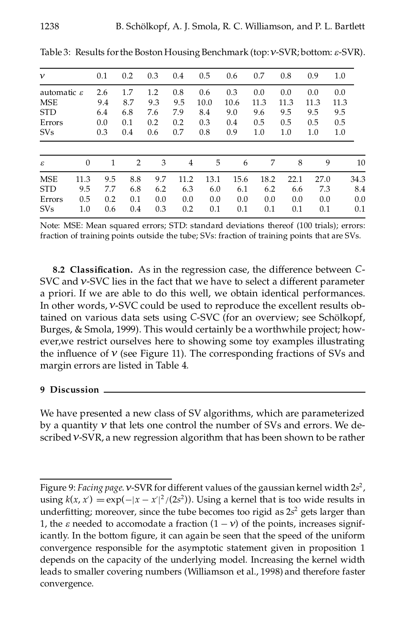| ν                       |          | 0.1 | 0.2 | 0.3 | 0.4  | 0.5  | 0.6  | 0.7  | 0.8  | 0.9  | 1.0  |
|-------------------------|----------|-----|-----|-----|------|------|------|------|------|------|------|
| automatic $\varepsilon$ |          | 2.6 | 1.7 | 1.2 | 0.8  | 0.6  | 0.3  | 0.0  | 0.0  | 0.0  | 0.0  |
| <b>MSE</b>              |          | 9.4 | 8.7 | 9.3 | 9.5  | 10.0 | 10.6 | 11.3 | 11.3 | 11.3 | 11.3 |
| <b>STD</b>              |          | 6.4 | 6.8 | 7.6 | 7.9  | 8.4  | 9.0  | 9.6  | 9.5  | 9.5  | 9.5  |
| Errors                  |          | 0.0 | 0.1 | 0.2 | 0.2  | 0.3  | 0.4  | 0.5  | 0.5  | 0.5  | 0.5  |
| <b>SVs</b>              |          | 0.3 | 0.4 | 0.6 | 0.7  | 0.8  | 0.9  | 1.0  | 1.0  | 1.0  | 1.0  |
|                         |          |     |     |     |      |      |      |      |      |      |      |
| ε                       | $\theta$ | 1   | 2   | 3   | 4    | 5    | 6    | 7    | 8    | 9    | 10   |
| <b>MSE</b>              | 11.3     | 9.5 | 8.8 | 9.7 | 11.2 | 13.1 | 15.6 | 18.2 | 22.1 | 27.0 | 34.3 |
| <b>STD</b>              | 9.5      | 7.7 | 6.8 | 6.2 | 6.3  | 6.0  | 6.1  | 6.2  | 6.6  | 7.3  | 8.4  |
| Errors                  | 0.5      | 0.2 | 0.1 | 0.0 | 0.0  | 0.0  | 0.0  | 0.0  | 0.0  | 0.0  | 0.0  |
| <b>SVs</b>              | $1.0\,$  | 0.6 | 0.4 | 0.3 | 0.2  | 0.1  | 0.1  | 0.1  | 0.1  | 0.1  | 0.1  |
|                         |          |     |     |     |      |      |      |      |      |      |      |

Table 3: Results forthe Boston Housing Benchmark (top:*º*-SVR; bottom: *e*-SVR).

Note: MSE: Mean squared errors; STD: standard deviations thereof (100 trials); errors: fraction of training points outside the tube; SVs: fraction of training points that are SVs.

**8.2 Classication.** As in the regression case, the difference between *C*- SVC and *v*-SVC lies in the fact that we have to select a different parameter a priori. If we are able to do this well, we obtain identical performances. In other words,*º*-SVC could be used to reproduce the excellent results obtained on various data sets using *C-SVC* (for an overview; see Schölkopf, Burges, & Smola, 1999). This would certainly be a worthwhile project; however,we restrict ourselves here to showing some toy examples illustrating the influence of  $\nu$  (see Figure 11). The corresponding fractions of SVs and margin errors are listed in Table 4.

#### **9 Discussion**

We have presented a new class of SV algorithms, which are parameterized by a quantity *º* that lets one control the number of SVs and errors. We described*º*-SVR, a new regression algorithm that has been shown to be rather

Figure 9: *Facing page*.*º*-SVR for different values of the gaussian kernel width 2*s* 2 , using  $k(x, x') = \exp(-|x - x'|^2/(2s^2))$ . Using a kernel that is too wide results in undertting; moreover, since the tube becomes too rigid as 2*s* <sup>2</sup> gets larger than 1, the  $\varepsilon$  needed to accomodate a fraction  $(1 - v)$  of the points, increases significantly. In the bottom figure, it can again be seen that the speed of the uniform convergence responsible for the asymptotic statement given in proposition 1 depends on the capacity of the underlying model. Increasing the kernel width leads to smaller covering numbers (Williamson et al., 1998) and therefore faster convergence.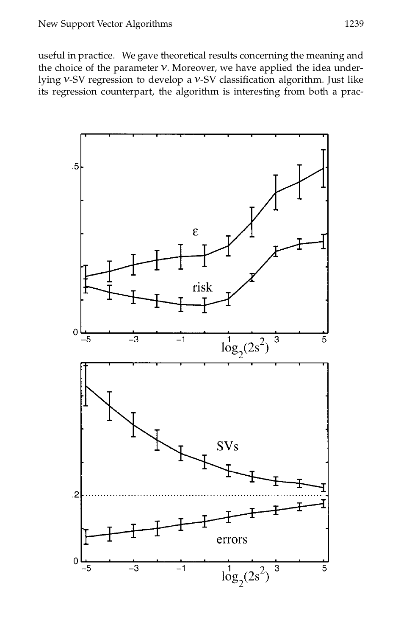useful in practice. We gave theoretical results concerning the meaning and the choice of the parameter  $v$ . Moreover, we have applied the idea underlying *v*-SV regression to develop a *v*-SV classification algorithm. Just like its regression counterpart, the algorithm is interesting from both a prac-

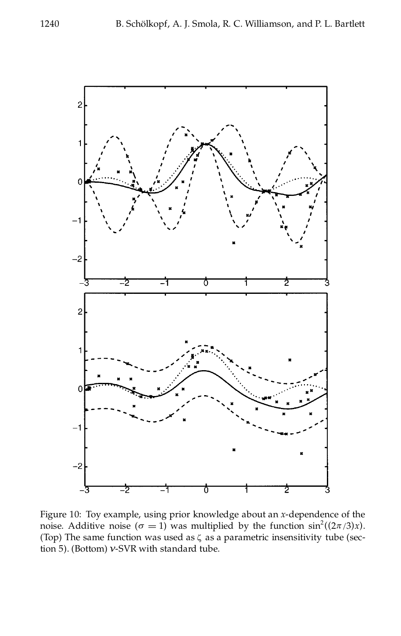

Figure 10: Toy example, using prior knowledge about an *x*-dependence of the noise. Additive noise  $(\sigma = 1)$  was multiplied by the function sin<sup>2</sup>((2 $\pi$ /3)*x*). (Top) The same function was used as  $\zeta$  as a parametric insensitivity tube (section 5). (Bottom) *º*-SVR with standard tube.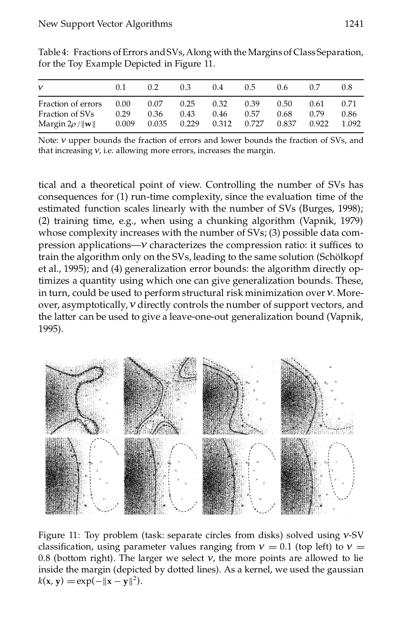| ν                               | 0.1   | 0.2   | 0.3   | 0.4   | 0.5   | 0.6   |       | 0.8   |
|---------------------------------|-------|-------|-------|-------|-------|-------|-------|-------|
| Fraction of errors              | 0.00  | 0.07  | 0.25  | 0.32  | 0.39  | 0.50  | 0.61  | 0.71  |
| Fraction of SVs                 | 0.29  | 0.36  | 0.43  | 0.46  | 0.57  | 0.68  | 0.79  | 0.86  |
| Margin $2\rho /   \mathbf{w}  $ | 0.009 | 0.035 | 0.229 | 0.312 | 0.727 | 0.837 | 0.922 | 1.092 |

Table 4: Fractions of Errors and SVs, Along with the Margins of Class Separation, for the Toy Example Depicted in Figure 11.

Note:  $v$  upper bounds the fraction of errors and lower bounds the fraction of SVs, and that increasing *º*, i.e. allowing more errors, increases the margin.

tical and a theoretical point of view. Controlling the number of SVs has consequences for (1) run-time complexity, since the evaluation time of the estimated function scales linearly with the number of SVs (Burges, 1998); (2) training time, e.g., when using a chunking algorithm (Vapnik, 1979) whose complexity increases with the number of SVs; (3) possible data compression applications $-V$  characterizes the compression ratio: it suffices to train the algorithm only on the SVs, leading to the same solution (Schölkopf et al., 1995); and (4) generalization error bounds: the algorithm directly optimizes a quantity using which one can give generalization bounds. These, in turn, could be used to perform structural risk minimization over*º*. Moreover, asymptotically,*º* directly controls the number of support vectors, and the latter can be used to give a leave-one-out generalization bound (Vapnik, 1995).



Figure 11: Toy problem (task: separate circles from disks) solved using *º*-SV classification, using parameter values ranging from  $v = 0.1$  (top left) to  $v =$ 0.8 (bottom right). The larger we select  $v$ , the more points are allowed to lie inside the margin (depicted by dotted lines). As a kernel, we used the gaussian  $k(x, y) = \exp(-\|x - y\|^2).$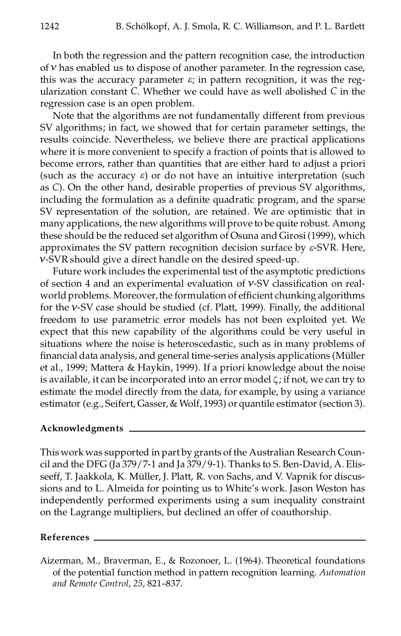In both the regression and the pattern recognition case, the introduction of  $\nu$  has enabled us to dispose of another parameter. In the regression case, this was the accuracy parameter  $\varepsilon$ ; in pattern recognition, it was the regularization constant *C*. Whether we could have as well abolished *C* in the regression case is an open problem.

Note that the algorithms are not fundamentally different from previous SV algorithms; in fact, we showed that for certain parameter settings, the results coincide. Nevertheless, we believe there are practical applications where it is more convenient to specify a fraction of points that is allowed to become errors, rather than quantities that are either hard to adjust a priori (such as the accuracy  $\varepsilon$ ) or do not have an intuitive interpretation (such as *C*). On the other hand, desirable properties of previous SV algorithms, including the formulation as a definite quadratic program, and the sparse SV representation of the solution, are retained. We are optimistic that in many applications, the new algorithms will prove to be quite robust. Among these should be the reduced set algorithm of Osuna and Girosi(1999), which approximates the SV pattern recognition decision surface by *e*-SVR. Here, *º*-SVR should give a direct handle on the desired speed-up.

Future work includes the experimental test of the asymptotic predictions of section 4 and an experimental evaluation of  $v$ -SV classification on realworld problems. Moreover, the formulation of efficient chunking algorithms for the *º*-SV case should be studied (cf. Platt, 1999). Finally, the additional freedom to use parametric error models has not been exploited yet. We expect that this new capability of the algorithms could be very useful in situations where the noise is heteroscedastic, such as in many problems of financial data analysis, and general time-series analysis applications (Müller et al., 1999; Mattera & Haykin, 1999). If a priori knowledge about the noise is available, it can be incorporated into an error model  $\zeta$ ; if not, we can try to estimate the model directly from the data, for example, by using a variance estimator (e.g., Seifert, Gasser, & Wolf, 1993) or quantile estimator (section 3).

#### **Acknowledgments**

This work was supported in part by grants of the Australian Research Council and the DFG (Ja 379/7-1 and Ja 379/9-1). Thanks to S. Ben-David, A. Elisseeff, T. Jaakkola, K. Müller, J. Platt, R. von Sachs, and V. Vapnik for discussions and to L. Almeida for pointing us to White's work. Jason Weston has independently performed experiments using a sum inequality constraint on the Lagrange multipliers, but declined an offer of coauthorship.

#### **References**

Aizerman, M., Braverman, E., & Rozonoer, L. (1964). Theoretical foundations of the potential function method in pattern recognition learning. *Automation and Remote Control*, *25*, 821–837.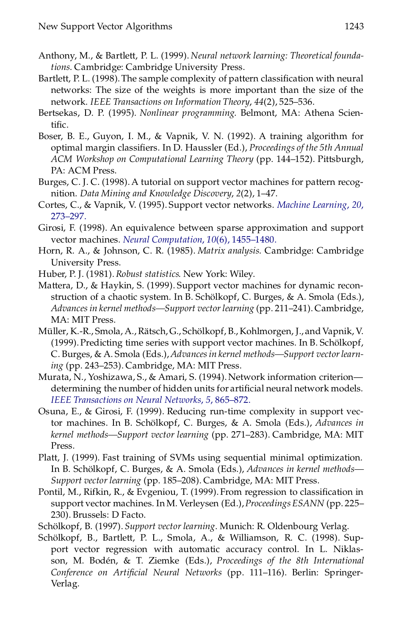- Anthony, M., & Bartlett, P. L. (1999). *Neural network learning: Theoretical foundations*. Cambridge: Cambridge University Press.
- Bartlett, P. L. (1998). The sample complexity of pattern classification with neural networks: The size of the weights is more important than the size of the network. *IEEE Transactions on Information Theory*, *44*(2), 525–536.
- Bertsekas, D. P. (1995). *Nonlinear programming*. Belmont, MA: Athena Scientific.
- Boser, B. E., Guyon, I. M., & Vapnik, V. N. (1992). A training algorithm for optimal margin classifiers. In D. Haussler (Ed.), *Proceedings of the* 5th *Annual ACM Workshop on Computational Learning Theory* (pp. 144–152). Pittsburgh, PA: ACM Press.
- Burges, C. J. C. (1998). A tutorial on support vector machines for pattern recognition. *Data Mining and Knowledge Discovery*, *2*(2), 1–47.
- Cortes, C., & Vapnik, V. (1995). Support vector networks. *Machine [Learning](http://ernesto.ingentaselect.com/nw=1/rpsv/cgi-bin/linker?ext=a&reqidx=/0885-6125^28^2920L.273[aid=193595])*, *20*, [273–297.](http://ernesto.ingentaselect.com/nw=1/rpsv/cgi-bin/linker?ext=a&reqidx=/0885-6125^28^2920L.273[aid=193595])
- Girosi, F. (1998). An equivalence between sparse approximation and support vector machines. *Neural [Computation](http://ernesto.ingentaselect.com/nw=1/rpsv/cgi-bin/linker?ext=a&reqidx=/0899-7667^28^2910:6L.1455[aid=215313,cw=1,nlm=9698353])*, *10*(6), 1455–1480.
- Horn, R. A., & Johnson, C. R. (1985). *Matrix analysis*. Cambridge: Cambridge University Press.
- Huber, P. J. (1981).*Robust statistics*. New York: Wiley.
- Mattera, D., & Haykin, S. (1999). Support vector machines for dynamic recon struction of a chaotic system. In B. Schölkopf, C. Burges, & A. Smola (Eds.), *Advances in kernel methods—Support vectorlearning* (pp. 211–241). Cambridge, MA: MIT Press.
- Müller, K.-R., Smola, A., Rätsch, G., Schölkopf, B., Kohlmorgen, J., and Vapnik, V. (1999). Predicting time series with support vector machines. In B. Schölkopf, C. Burges, & A. Smola (Eds.),*Advancesin kernel methods—Support vectorlearning* (pp. 243–253). Cambridge, MA: MIT Press.
- Murata, N., Yoshizawa, S., & Amari, S. (1994). Network information criteriondetermining the number of hidden units for artificial neural network models. *IEEE [Transactions](http://ernesto.ingentaselect.com/nw=1/rpsv/cgi-bin/linker?ext=a&reqidx=/1045-9227^28^295L.865[aid=215314,csa=1045-9227^26vol=5^26iss=6^26firstpage=865]) on Neural Networks*, *5*, 865–872.
- Osuna, E., & Girosi, F. (1999). Reducing run-time complexity in support vector machines. In B. Schölkopf, C. Burges, & A. Smola (Eds.), *Advances in kernel methods—Support vector learning* (pp. 271–283). Cambridge, MA: MIT Press.
- Platt, J. (1999). Fast training of SVMs using sequential minimal optimization. In B. Schölkopf, C. Burges, & A. Smola (Eds.), *Advances in kernel methods*— *Support vector learning* (pp. 185–208). Cambridge, MA: MIT Press.
- Pontil, M., Rifkin, R., & Evgeniou, T. (1999). From regression to classification in support vector machines. In M. Verleysen (Ed.), Proceedings ESANN (pp. 225-230). Brussels: D Facto.
- Schölkopf, B. (1997). Support vector learning. Munich: R. Oldenbourg Verlag.
- Schölkopf, B., Bartlett, P. L., Smola, A., & Williamson, R. C. (1998). Support vector regression with automatic accuracy control. In L. Niklasson, M. Boden, ´ & T. Ziemke (Eds.), *Proceedings of the 8th International Conference on Articial Neural Networks* (pp. 111–116). Berlin: Springer-Verlag.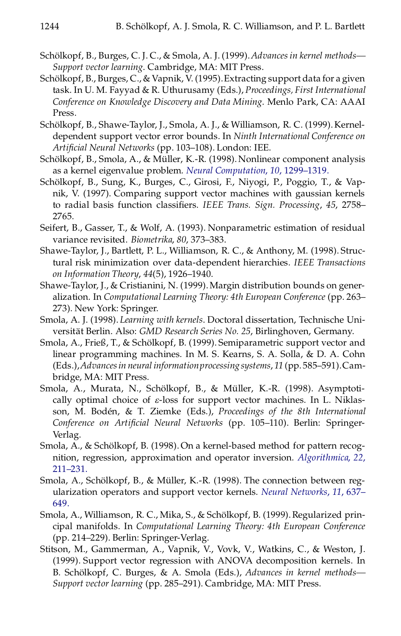- Schölkopf, B., Burges, C.J. C., & Smola, A.J. (1999). Advances in kernel methods— *Support vector learning*. Cambridge, MA: MIT Press.
- Schölkopf, B., Burges, C., & Vapnik, V. (1995). Extracting support data for a given task. In U. M. Fayyad & R. Uthurusamy (Eds.), *Proceedings, First International Conference on Knowledge Discovery and Data Mining*. Menlo Park, CA: AAAI Press.
- Schölkopf, B., Shawe-Taylor, J., Smola, A. J., & Williamson, R. C. (1999). Kerneldependent support vector error bounds. In *Ninth International Conference on Articial Neural Networks* (pp. 103–108). London: IEE.
- Schölkopf, B., Smola, A., & Müller, K.-R. (1998). Nonlinear component analysis as a kernel eigenvalue problem. *Neural [Computation](http://ernesto.ingentaselect.com/nw=1/rpsv/cgi-bin/linker?ext=a&reqidx=/0899-7667^28^2910L.1299[aid=215315,cw=1])*, *10*, 1299–1319.
- Schölkopf, B., Sung, K., Burges, C., Girosi, F., Niyogi, P., Poggio, T., & Vapnik, V. (1997). Comparing support vector machines with gaussian kernels to radial basis function classifiers. IEEE Trans. Sign. Processing, 45, 2758-2765.
- Seifert, B., Gasser, T., & Wolf, A. (1993). Nonparametric estimation of residual variance revisited. *Biometrika*, *80*, 373–383.
- Shawe-Taylor, J., Bartlett, P. L., Williamson, R. C., & Anthony, M. (1998). Structural risk minimization over data-dependent hierarchies. *IEEE Transactions on Information Theory*, *44*(5), 1926–1940.
- Shawe-Taylor, J., & Cristianini, N. (1999).Margin distribution bounds on generalization. In *Computational Learning Theory: 4th European Conference* (pp. 263– 273). New York: Springer.
- Smola, A. J. (1998). *Learning with kernels*. Doctoral dissertation, Technische Universitat¨ Berlin. Also: *GMD Research Series No. 25*, Birlinghoven, Germany.
- Smola, A., Frieß, T., & Schölkopf, B. (1999). Semiparametric support vector and linear programming machines. In M. S. Kearns, S. A. Solla, & D. A. Cohn (Eds.),*Advancesin neural informationprocessing systems*, *11* (pp. 585–591).Cambridge, MA: MIT Press.
- Smola, A., Murata, N., Schölkopf, B., & Müller, K.-R. (1998). Asymptotically optimal choice of *e*-loss for support vector machines. In L. Niklasson, M. Boden, ´ & T. Ziemke (Eds.), *Proceedings of the 8th International Conference on Articial Neural Networks* (pp. 105–110). Berlin: Springer-Verlag.
- Smola, A., & Schölkopf, B. (1998). On a kernel-based method for pattern recognition, regression, approximation and operator inversion. *[Algorithmica](http://ernesto.ingentaselect.com/nw=1/rpsv/cgi-bin/linker?ext=a&reqidx=/0178-4617^28^2922L.211[aid=215319])*, *22*, [211–231.](http://ernesto.ingentaselect.com/nw=1/rpsv/cgi-bin/linker?ext=a&reqidx=/0178-4617^28^2922L.211[aid=215319])
- Smola, A., Schölkopf, B., & Müller, K.-R. (1998). The connection between regularization operators and support vector kernels. *Neural [Networks](http://ernesto.ingentaselect.com/nw=1/rpsv/cgi-bin/linker?ext=a&reqidx=/0893-6080^28^2911L.637[aid=215320])*, *11*, 637– [649.](http://ernesto.ingentaselect.com/nw=1/rpsv/cgi-bin/linker?ext=a&reqidx=/0893-6080^28^2911L.637[aid=215320])
- Smola, A., Williamson, R. C., Mika, S., & Schölkopf, B. (1999). Regularized principal manifolds. In *Computational Learning Theory: 4th European Conference* (pp. 214–229). Berlin: Springer-Verlag.
- Stitson, M., Gammerman, A., Vapnik, V., Vovk, V., Watkins, C., & Weston, J. (1999). Support vector regression with ANOVA decomposition kernels. In B. Schölkopf, C. Burges, & A. Smola (Eds.), *Advances in kernel methods*— *Support vector learning* (pp. 285–291). Cambridge, MA: MIT Press.